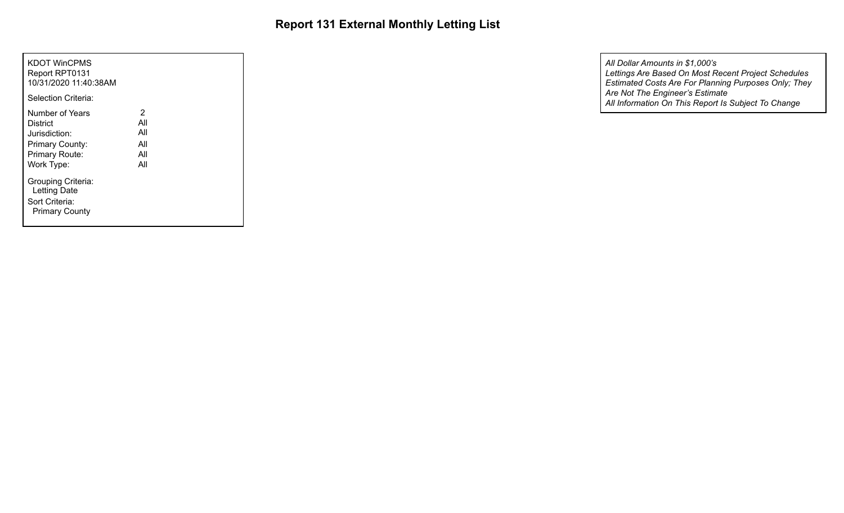| KDOT WinCPMS<br>Report RPT0131<br>10/31/2020 11:40:38AM<br>Selection Criteria:                  |                                      |  |
|-------------------------------------------------------------------------------------------------|--------------------------------------|--|
| Number of Years<br>District<br>Jurisdiction:<br>Primary County:<br>Primary Route:<br>Work Type: | 2<br>All<br>All<br>All<br>All<br>All |  |
| Grouping Criteria:<br>Letting Date<br>Sort Criteria:<br><b>Primary County</b>                   |                                      |  |

*All Information On This Report Is Subject To Change Estimated Costs Are For Planning Purposes Only; They Are Not The Engineer's Estimate Lettings Are Based On Most Recent Project Schedules All Dollar Amounts in \$1,000's*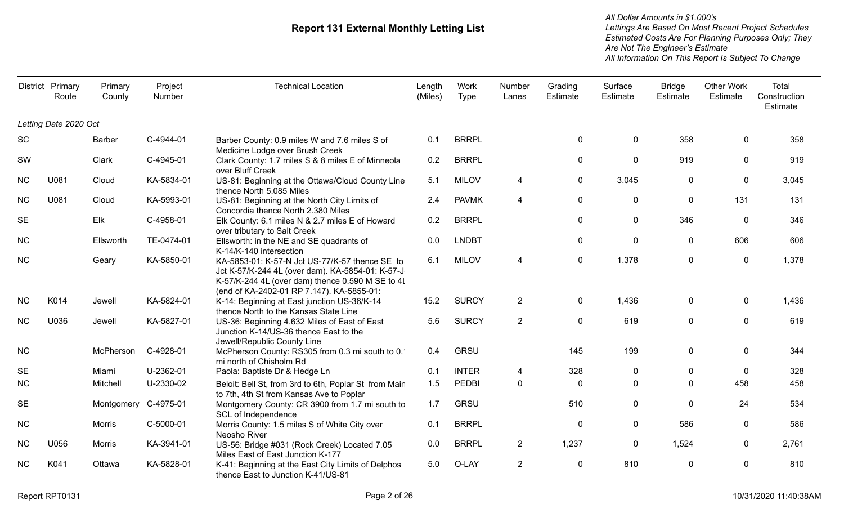|           | District Primary<br>Route | Primary<br>County | Project<br>Number | <b>Technical Location</b>                                                                                                                                                                           | Length<br>(Miles) | Work<br><b>Type</b> | Number<br>Lanes | Grading<br>Estimate | Surface<br>Estimate | <b>Bridge</b><br>Estimate | <b>Other Work</b><br>Estimate | Total<br>Construction<br>Estimate |
|-----------|---------------------------|-------------------|-------------------|-----------------------------------------------------------------------------------------------------------------------------------------------------------------------------------------------------|-------------------|---------------------|-----------------|---------------------|---------------------|---------------------------|-------------------------------|-----------------------------------|
|           | Letting Date 2020 Oct     |                   |                   |                                                                                                                                                                                                     |                   |                     |                 |                     |                     |                           |                               |                                   |
| <b>SC</b> |                           | <b>Barber</b>     | C-4944-01         | Barber County: 0.9 miles W and 7.6 miles S of<br>Medicine Lodge over Brush Creek                                                                                                                    | 0.1               | <b>BRRPL</b>        |                 | 0                   | 0                   | 358                       | $\mathbf{0}$                  | 358                               |
| SW        |                           | Clark             | C-4945-01         | Clark County: 1.7 miles S & 8 miles E of Minneola<br>over Bluff Creek                                                                                                                               | 0.2               | <b>BRRPL</b>        |                 | $\mathbf 0$         | $\mathbf 0$         | 919                       | $\Omega$                      | 919                               |
| <b>NC</b> | U081                      | Cloud             | KA-5834-01        | US-81: Beginning at the Ottawa/Cloud County Line<br>thence North 5.085 Miles                                                                                                                        | 5.1               | <b>MILOV</b>        | 4               | $\mathbf 0$         | 3,045               | $\mathbf 0$               | $\mathbf 0$                   | 3,045                             |
| <b>NC</b> | U081                      | Cloud             | KA-5993-01        | US-81: Beginning at the North City Limits of<br>Concordia thence North 2.380 Miles                                                                                                                  | 2.4               | <b>PAVMK</b>        | 4               | $\mathbf 0$         | $\mathbf 0$         | $\mathbf 0$               | 131                           | 131                               |
| <b>SE</b> |                           | Elk               | C-4958-01         | Elk County: 6.1 miles N & 2.7 miles E of Howard<br>over tributary to Salt Creek                                                                                                                     | 0.2               | <b>BRRPL</b>        |                 | 0                   | $\mathbf{0}$        | 346                       | $\mathbf{0}$                  | 346                               |
| <b>NC</b> |                           | Ellsworth         | TE-0474-01        | Ellsworth: in the NE and SE quadrants of<br>K-14/K-140 intersection                                                                                                                                 | 0.0               | <b>LNDBT</b>        |                 | 0                   | $\mathbf{0}$        | $\mathbf 0$               | 606                           | 606                               |
| <b>NC</b> |                           | Geary             | KA-5850-01        | KA-5853-01: K-57-N Jct US-77/K-57 thence SE to<br>Jct K-57/K-244 4L (over dam). KA-5854-01: K-57-J<br>K-57/K-244 4L (over dam) thence 0.590 M SE to 4I<br>(end of KA-2402-01 RP 7.147). KA-5855-01: | 6.1               | <b>MILOV</b>        | 4               | $\pmb{0}$           | 1,378               | $\pmb{0}$                 | $\mathbf 0$                   | 1,378                             |
| <b>NC</b> | K014                      | Jewell            | KA-5824-01        | K-14: Beginning at East junction US-36/K-14<br>thence North to the Kansas State Line                                                                                                                | 15.2              | <b>SURCY</b>        | $\overline{2}$  | 0                   | 1,436               | 0                         | 0                             | 1,436                             |
| <b>NC</b> | U036                      | Jewell            | KA-5827-01        | US-36: Beginning 4.632 Miles of East of East<br>Junction K-14/US-36 thence East to the<br>Jewell/Republic County Line                                                                               | 5.6               | <b>SURCY</b>        | $\overline{2}$  | $\mathbf 0$         | 619                 | $\mathbf 0$               | $\mathbf 0$                   | 619                               |
| <b>NC</b> |                           | McPherson         | C-4928-01         | McPherson County: RS305 from 0.3 mi south to 0.<br>mi north of Chisholm Rd                                                                                                                          | 0.4               | <b>GRSU</b>         |                 | 145                 | 199                 | $\overline{0}$            | 0                             | 344                               |
| <b>SE</b> |                           | Miami             | U-2362-01         | Paola: Baptiste Dr & Hedge Ln                                                                                                                                                                       | 0.1               | <b>INTER</b>        | 4               | 328                 | $\mathbf{0}$        | 0                         | $\mathbf{0}$                  | 328                               |
| <b>NC</b> |                           | Mitchell          | U-2330-02         | Beloit: Bell St, from 3rd to 6th, Poplar St from Mair<br>to 7th, 4th St from Kansas Ave to Poplar                                                                                                   | 1.5               | <b>PEDBI</b>        | $\mathbf 0$     | $\mathbf{0}$        | $\Omega$            | $\Omega$                  | 458                           | 458                               |
| <b>SE</b> |                           | Montgomery        | C-4975-01         | Montgomery County: CR 3900 from 1.7 mi south to<br>SCL of Independence                                                                                                                              | 1.7               | <b>GRSU</b>         |                 | 510                 | $\mathbf 0$         | $\Omega$                  | 24                            | 534                               |
| <b>NC</b> |                           | Morris            | C-5000-01         | Morris County: 1.5 miles S of White City over<br>Neosho River                                                                                                                                       | 0.1               | <b>BRRPL</b>        |                 | $\Omega$            | $\mathbf{0}$        | 586                       | 0                             | 586                               |
| <b>NC</b> | U056                      | Morris            | KA-3941-01        | US-56: Bridge #031 (Rock Creek) Located 7.05<br>Miles East of East Junction K-177                                                                                                                   | 0.0               | <b>BRRPL</b>        | $\overline{2}$  | 1,237               | $\mathbf 0$         | 1,524                     | $\mathbf 0$                   | 2,761                             |
| <b>NC</b> | K041                      | Ottawa            | KA-5828-01        | K-41: Beginning at the East City Limits of Delphos<br>thence East to Junction K-41/US-81                                                                                                            | 5.0               | O-LAY               | $\overline{2}$  | 0                   | 810                 | $\mathbf{0}$              | $\mathbf 0$                   | 810                               |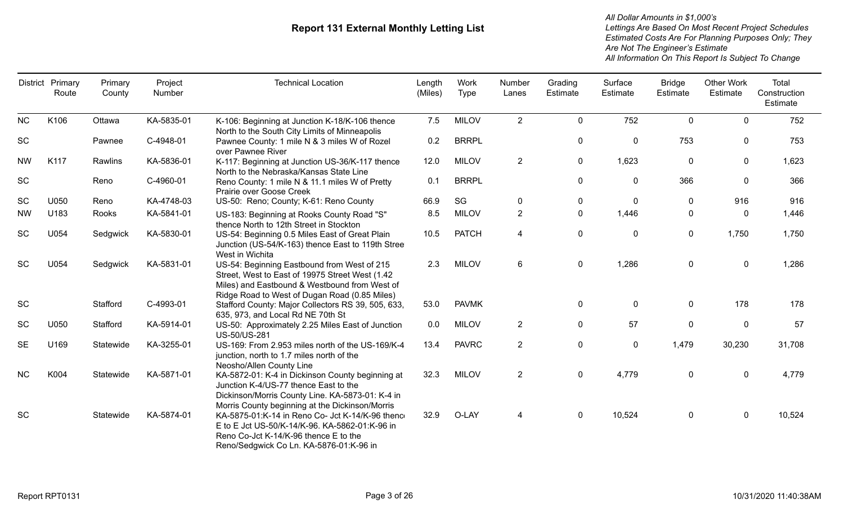|           | District Primary<br>Route | Primary<br>County | Project<br>Number | <b>Technical Location</b>                                                                                                                                                                        | Length<br>(Miles) | Work<br>Type | Number<br>Lanes | Grading<br>Estimate | Surface<br>Estimate | <b>Bridge</b><br>Estimate | <b>Other Work</b><br>Estimate | Total<br>Construction<br>Estimate |
|-----------|---------------------------|-------------------|-------------------|--------------------------------------------------------------------------------------------------------------------------------------------------------------------------------------------------|-------------------|--------------|-----------------|---------------------|---------------------|---------------------------|-------------------------------|-----------------------------------|
| <b>NC</b> | K106                      | Ottawa            | KA-5835-01        | K-106: Beginning at Junction K-18/K-106 thence<br>North to the South City Limits of Minneapolis                                                                                                  | 7.5               | <b>MILOV</b> | 2               | 0                   | 752                 | $\mathbf 0$               | $\mathbf{0}$                  | 752                               |
| SC        |                           | Pawnee            | C-4948-01         | Pawnee County: 1 mile N & 3 miles W of Rozel<br>over Pawnee River                                                                                                                                | 0.2               | <b>BRRPL</b> |                 | 0                   | $\pmb{0}$           | 753                       | $\mathbf 0$                   | 753                               |
| <b>NW</b> | K117                      | Rawlins           | KA-5836-01        | K-117: Beginning at Junction US-36/K-117 thence<br>North to the Nebraska/Kansas State Line                                                                                                       | 12.0              | <b>MILOV</b> | $\overline{2}$  | 0                   | 1,623               | 0                         | 0                             | 1,623                             |
| SC        |                           | Reno              | C-4960-01         | Reno County: 1 mile N & 11.1 miles W of Pretty<br>Prairie over Goose Creek                                                                                                                       | 0.1               | <b>BRRPL</b> |                 | 0                   | $\mathbf 0$         | 366                       | $\mathbf 0$                   | 366                               |
| SC        | U050                      | Reno              | KA-4748-03        | US-50: Reno; County; K-61: Reno County                                                                                                                                                           | 66.9              | SG           | $\mathbf 0$     | 0                   | $\mathbf 0$         | $\mathbf{0}$              | 916                           | 916                               |
| <b>NW</b> | U183                      | Rooks             | KA-5841-01        | US-183: Beginning at Rooks County Road "S"<br>thence North to 12th Street in Stockton                                                                                                            | 8.5               | <b>MILOV</b> | $\overline{2}$  | 0                   | 1,446               | 0                         | 0                             | 1,446                             |
| SC        | U054                      | Sedgwick          | KA-5830-01        | US-54: Beginning 0.5 Miles East of Great Plain<br>Junction (US-54/K-163) thence East to 119th Stree<br>West in Wichita                                                                           | 10.5              | <b>PATCH</b> | $\overline{4}$  | 0                   | $\mathbf{0}$        | $\mathbf 0$               | 1,750                         | 1,750                             |
| <b>SC</b> | U054                      | Sedgwick          | KA-5831-01        | US-54: Beginning Eastbound from West of 215<br>Street, West to East of 19975 Street West (1.42<br>Miles) and Eastbound & Westbound from West of<br>Ridge Road to West of Dugan Road (0.85 Miles) | 2.3               | <b>MILOV</b> | 6               | $\mathbf 0$         | 1,286               | 0                         | $\mathbf 0$                   | 1,286                             |
| <b>SC</b> |                           | Stafford          | C-4993-01         | Stafford County: Major Collectors RS 39, 505, 633,<br>635, 973, and Local Rd NE 70th St                                                                                                          | 53.0              | <b>PAVMK</b> |                 | $\mathbf 0$         | $\mathbf 0$         | 0                         | 178                           | 178                               |
| <b>SC</b> | U050                      | Stafford          | KA-5914-01        | US-50: Approximately 2.25 Miles East of Junction<br>US-50/US-281                                                                                                                                 | 0.0               | <b>MILOV</b> | $\overline{2}$  | 0                   | 57                  | 0                         | $\mathbf 0$                   | 57                                |
| <b>SE</b> | U169                      | Statewide         | KA-3255-01        | US-169: From 2.953 miles north of the US-169/K-4<br>junction, north to 1.7 miles north of the<br>Neosho/Allen County Line                                                                        | 13.4              | <b>PAVRC</b> | $\overline{2}$  | 0                   | $\pmb{0}$           | 1,479                     | 30,230                        | 31,708                            |
| <b>NC</b> | K004                      | Statewide         | KA-5871-01        | KA-5872-01: K-4 in Dickinson County beginning at<br>Junction K-4/US-77 thence East to the<br>Dickinson/Morris County Line. KA-5873-01: K-4 in<br>Morris County beginning at the Dickinson/Morris | 32.3              | <b>MILOV</b> | $\overline{2}$  | 0                   | 4,779               | $\mathbf 0$               | $\mathbf 0$                   | 4,779                             |
| SC        |                           | Statewide         | KA-5874-01        | KA-5875-01:K-14 in Reno Co- Jct K-14/K-96 thence<br>E to E Jct US-50/K-14/K-96. KA-5862-01:K-96 in<br>Reno Co-Jct K-14/K-96 thence E to the<br>Reno/Sedgwick Co Ln. KA-5876-01:K-96 in           | 32.9              | O-LAY        | 4               | 0                   | 10,524              | 0                         | $\mathbf 0$                   | 10,524                            |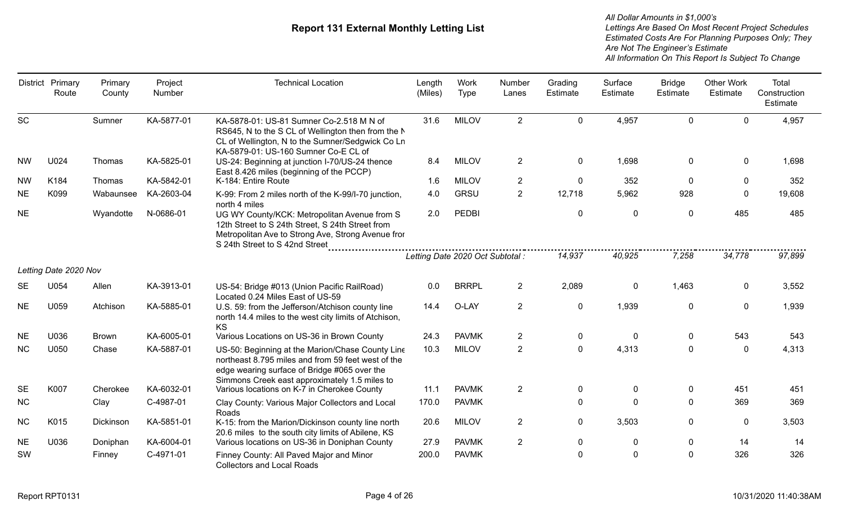|           | District Primary<br>Route | Primary<br>County | Project<br>Number | <b>Technical Location</b>                                                                                                                                                                               | Length<br>(Miles) | Work<br><b>Type</b>              | Number<br>Lanes | Grading<br>Estimate | Surface<br>Estimate | <b>Bridge</b><br>Estimate | <b>Other Work</b><br>Estimate | Total<br>Construction<br>Estimate |
|-----------|---------------------------|-------------------|-------------------|---------------------------------------------------------------------------------------------------------------------------------------------------------------------------------------------------------|-------------------|----------------------------------|-----------------|---------------------|---------------------|---------------------------|-------------------------------|-----------------------------------|
| <b>SC</b> |                           | Sumner            | KA-5877-01        | KA-5878-01: US-81 Sumner Co-2.518 M N of<br>RS645, N to the S CL of Wellington then from the N<br>CL of Wellington, N to the Sumner/Sedgwick Co Ln<br>KA-5879-01: US-160 Sumner Co-E CL of              | 31.6              | <b>MILOV</b>                     | $\overline{2}$  | $\mathbf 0$         | 4,957               | $\mathbf 0$               | $\mathbf 0$                   | 4,957                             |
| <b>NW</b> | U024                      | Thomas            | KA-5825-01        | US-24: Beginning at junction I-70/US-24 thence<br>East 8.426 miles (beginning of the PCCP)                                                                                                              | 8.4               | <b>MILOV</b>                     | $\overline{2}$  | $\mathbf 0$         | 1,698               | $\mathbf 0$               | $\mathbf{0}$                  | 1,698                             |
| <b>NW</b> | K184                      | Thomas            | KA-5842-01        | K-184: Entire Route                                                                                                                                                                                     | 1.6               | <b>MILOV</b>                     | $\overline{2}$  | $\mathbf 0$         | 352                 | $\mathbf 0$               | 0                             | 352                               |
| <b>NE</b> | K099                      | Wabaunsee         | KA-2603-04        | K-99: From 2 miles north of the K-99/I-70 junction,<br>north 4 miles                                                                                                                                    | 4.0               | <b>GRSU</b>                      | $\overline{2}$  | 12,718              | 5,962               | 928                       | $\mathbf 0$                   | 19,608                            |
| <b>NE</b> |                           | Wyandotte         | N-0686-01         | UG WY County/KCK: Metropolitan Avenue from S<br>12th Street to S 24th Street, S 24th Street from<br>Metropolitan Ave to Strong Ave, Strong Avenue fror<br>S 24th Street to S 42nd Street                | 2.0               | PEDBI                            |                 | $\mathbf 0$<br>.    | $\mathbf 0$         | $\mathbf 0$               | 485                           | 485                               |
|           |                           |                   |                   |                                                                                                                                                                                                         |                   | Letting Date 2020 Oct Subtotal : |                 | 14,937              | 40,925              | 7,258                     | 34,778                        | 97,899                            |
|           | Letting Date 2020 Nov     |                   |                   |                                                                                                                                                                                                         |                   |                                  |                 |                     |                     |                           |                               |                                   |
| SE        | U054                      | Allen             | KA-3913-01        | US-54: Bridge #013 (Union Pacific RailRoad)<br>Located 0.24 Miles East of US-59                                                                                                                         | 0.0               | <b>BRRPL</b>                     | $\overline{2}$  | 2,089               | $\pmb{0}$           | 1,463                     | 0                             | 3,552                             |
| <b>NE</b> | U059                      | Atchison          | KA-5885-01        | U.S. 59: from the Jefferson/Atchison county line<br>north 14.4 miles to the west city limits of Atchison,<br>KS                                                                                         | 14.4              | O-LAY                            | $\overline{2}$  | $\boldsymbol{0}$    | 1,939               | $\mathbf 0$               | $\mathbf 0$                   | 1,939                             |
| <b>NE</b> | U036                      | <b>Brown</b>      | KA-6005-01        | Various Locations on US-36 in Brown County                                                                                                                                                              | 24.3              | <b>PAVMK</b>                     | $\overline{2}$  | $\mathbf 0$         | $\mathbf 0$         | $\mathbf 0$               | 543                           | 543                               |
| <b>NC</b> | U050                      | Chase             | KA-5887-01        | US-50: Beginning at the Marion/Chase County Line<br>northeast 8.795 miles and from 59 feet west of the<br>edge wearing surface of Bridge #065 over the<br>Simmons Creek east approximately 1.5 miles to | 10.3              | <b>MILOV</b>                     | $\overline{2}$  | $\mathbf 0$         | 4,313               | $\mathbf 0$               | $\mathbf 0$                   | 4,313                             |
| <b>SE</b> | K007                      | Cherokee          | KA-6032-01        | Various locations on K-7 in Cherokee County                                                                                                                                                             | 11.1              | <b>PAVMK</b>                     | $\overline{2}$  | $\mathbf 0$         | $\mathbf 0$         | $\mathbf 0$               | 451                           | 451                               |
| <b>NC</b> |                           | Clay              | C-4987-01         | Clay County: Various Major Collectors and Local<br>Roads                                                                                                                                                | 170.0             | <b>PAVMK</b>                     |                 | $\mathbf 0$         | $\mathbf 0$         | $\mathbf 0$               | 369                           | 369                               |
| <b>NC</b> | K015                      | Dickinson         | KA-5851-01        | K-15: from the Marion/Dickinson county line north<br>20.6 miles to the south city limits of Abilene, KS                                                                                                 | 20.6              | <b>MILOV</b>                     | $\overline{2}$  | $\mathbf 0$         | 3,503               | $\mathbf 0$               | 0                             | 3,503                             |
| <b>NE</b> | U036                      | Doniphan          | KA-6004-01        | Various locations on US-36 in Doniphan County                                                                                                                                                           | 27.9              | <b>PAVMK</b>                     | $\overline{2}$  | $\mathbf 0$         | 0                   | $\bf{0}$                  | 14                            | 14                                |
| SW        |                           | Finney            | C-4971-01         | Finney County: All Paved Major and Minor<br><b>Collectors and Local Roads</b>                                                                                                                           | 200.0             | <b>PAVMK</b>                     |                 | $\mathbf 0$         | $\pmb{0}$           | $\mathbf 0$               | 326                           | 326                               |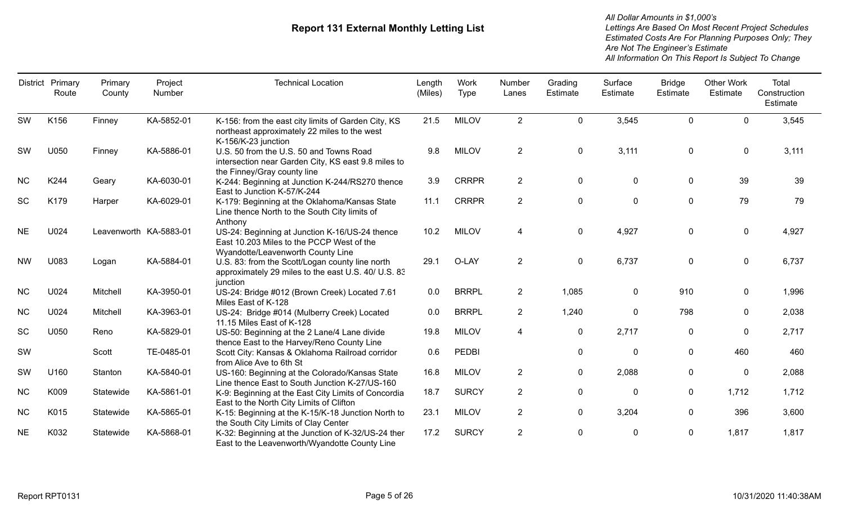|           | District Primary<br>Route | Primary<br>County      | Project<br>Number | <b>Technical Location</b>                                                                                                        | Length<br>(Miles) | Work<br><b>Type</b> | Number<br>Lanes | Grading<br>Estimate | Surface<br>Estimate | <b>Bridge</b><br>Estimate | <b>Other Work</b><br>Estimate | Total<br>Construction<br>Estimate |
|-----------|---------------------------|------------------------|-------------------|----------------------------------------------------------------------------------------------------------------------------------|-------------------|---------------------|-----------------|---------------------|---------------------|---------------------------|-------------------------------|-----------------------------------|
| SW        | K156                      | Finney                 | KA-5852-01        | K-156: from the east city limits of Garden City, KS<br>northeast approximately 22 miles to the west<br>K-156/K-23 junction       | 21.5              | <b>MILOV</b>        | $\overline{2}$  | $\mathbf 0$         | 3,545               | $\mathbf 0$               | $\mathbf 0$                   | 3,545                             |
| <b>SW</b> | U050                      | Finney                 | KA-5886-01        | U.S. 50 from the U.S. 50 and Towns Road<br>intersection near Garden City, KS east 9.8 miles to<br>the Finney/Gray county line    | 9.8               | <b>MILOV</b>        | $\overline{2}$  | $\mathbf 0$         | 3,111               | $\mathbf 0$               | $\mathbf 0$                   | 3,111                             |
| <b>NC</b> | K244                      | Geary                  | KA-6030-01        | K-244: Beginning at Junction K-244/RS270 thence<br>East to Junction K-57/K-244                                                   | 3.9               | <b>CRRPR</b>        | $\overline{2}$  | $\mathbf 0$         | 0                   | $\mathbf 0$               | 39                            | 39                                |
| SC        | K179                      | Harper                 | KA-6029-01        | K-179: Beginning at the Oklahoma/Kansas State<br>Line thence North to the South City limits of<br>Anthony                        | 11.1              | <b>CRRPR</b>        | $\overline{2}$  | $\mathbf 0$         | $\mathbf 0$         | $\mathbf 0$               | 79                            | 79                                |
| <b>NE</b> | U024                      | Leavenworth KA-5883-01 |                   | US-24: Beginning at Junction K-16/US-24 thence<br>East 10.203 Miles to the PCCP West of the<br>Wyandotte/Leavenworth County Line | 10.2              | <b>MILOV</b>        | 4               | $\mathbf 0$         | 4,927               | $\mathbf 0$               | $\mathbf 0$                   | 4,927                             |
| <b>NW</b> | U083                      | Logan                  | KA-5884-01        | U.S. 83: from the Scott/Logan county line north<br>approximately 29 miles to the east U.S. 40/ U.S. 83<br>junction               | 29.1              | O-LAY               | $\overline{2}$  | $\mathbf 0$         | 6,737               | $\mathbf 0$               | $\mathbf 0$                   | 6,737                             |
| <b>NC</b> | U024                      | Mitchell               | KA-3950-01        | US-24: Bridge #012 (Brown Creek) Located 7.61<br>Miles East of K-128                                                             | 0.0               | <b>BRRPL</b>        | $\overline{2}$  | 1,085               | 0                   | 910                       | $\mathbf{0}$                  | 1,996                             |
| <b>NC</b> | U024                      | Mitchell               | KA-3963-01        | US-24: Bridge #014 (Mulberry Creek) Located<br>11.15 Miles East of K-128                                                         | 0.0               | <b>BRRPL</b>        | 2 <sup>1</sup>  | 1,240               | 0                   | 798                       | $\mathbf 0$                   | 2,038                             |
| SC        | U050                      | Reno                   | KA-5829-01        | US-50: Beginning at the 2 Lane/4 Lane divide<br>thence East to the Harvey/Reno County Line                                       | 19.8              | <b>MILOV</b>        | 4               | 0                   | 2,717               | $\mathbf 0$               | 0                             | 2,717                             |
| SW        |                           | Scott                  | TE-0485-01        | Scott City: Kansas & Oklahoma Railroad corridor<br>from Alice Ave to 6th St                                                      | 0.6               | <b>PEDBI</b>        |                 | $\mathbf 0$         | $\mathbf 0$         | $\mathbf 0$               | 460                           | 460                               |
| SW        | U160                      | Stanton                | KA-5840-01        | US-160: Beginning at the Colorado/Kansas State<br>Line thence East to South Junction K-27/US-160                                 | 16.8              | <b>MILOV</b>        | $\overline{2}$  | $\mathbf 0$         | 2,088               | $\mathbf 0$               | 0                             | 2,088                             |
| <b>NC</b> | K009                      | Statewide              | KA-5861-01        | K-9: Beginning at the East City Limits of Concordia<br>East to the North City Limits of Clifton                                  | 18.7              | <b>SURCY</b>        | $2^{\circ}$     | $\mathbf 0$         | $\pmb{0}$           | $\mathbf 0$               | 1,712                         | 1,712                             |
| <b>NC</b> | K015                      | Statewide              | KA-5865-01        | K-15: Beginning at the K-15/K-18 Junction North to<br>the South City Limits of Clay Center                                       | 23.1              | <b>MILOV</b>        | $\overline{2}$  | $\mathbf 0$         | 3,204               | $\mathbf 0$               | 396                           | 3,600                             |
| <b>NE</b> | K032                      | Statewide              | KA-5868-01        | K-32: Beginning at the Junction of K-32/US-24 ther<br>East to the Leavenworth/Wyandotte County Line                              | 17.2              | <b>SURCY</b>        | $\overline{2}$  | $\mathbf 0$         | 0                   | $\mathbf 0$               | 1,817                         | 1,817                             |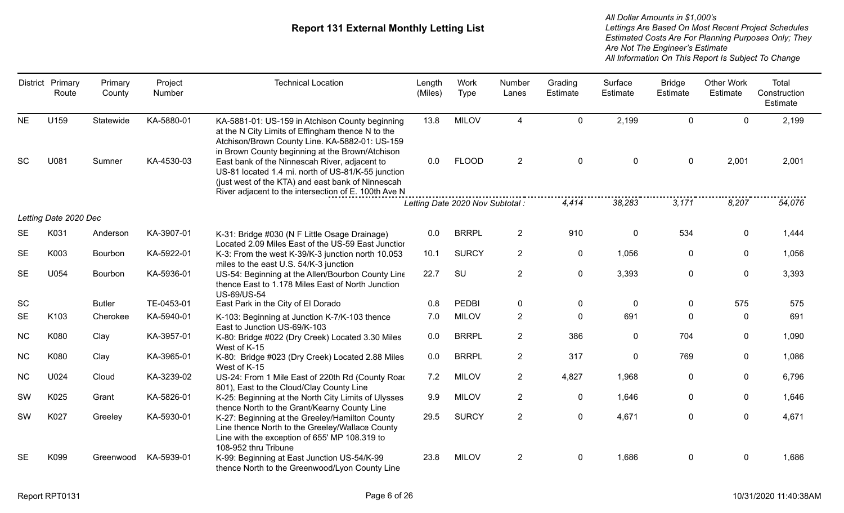|           | District Primary<br>Route | Primary<br>County | Project<br>Number | <b>Technical Location</b>                                                                                                                                                                                        | Length<br>(Miles) | <b>Work</b><br>Type              | Number<br>Lanes | Grading<br>Estimate | Surface<br>Estimate | <b>Bridge</b><br>Estimate | <b>Other Work</b><br>Estimate | Total<br>Construction<br>Estimate |
|-----------|---------------------------|-------------------|-------------------|------------------------------------------------------------------------------------------------------------------------------------------------------------------------------------------------------------------|-------------------|----------------------------------|-----------------|---------------------|---------------------|---------------------------|-------------------------------|-----------------------------------|
| <b>NE</b> | U159                      | Statewide         | KA-5880-01        | KA-5881-01: US-159 in Atchison County beginning<br>at the N City Limits of Effingham thence N to the<br>Atchison/Brown County Line. KA-5882-01: US-159<br>in Brown County beginning at the Brown/Atchison        | 13.8              | <b>MILOV</b>                     | 4               | $\mathbf 0$         | 2,199               | $\Omega$                  | $\Omega$                      | 2,199                             |
| <b>SC</b> | U081                      | Sumner            | KA-4530-03        | East bank of the Ninnescah River, adjacent to<br>US-81 located 1.4 mi. north of US-81/K-55 junction<br>(just west of the KTA) and east bank of Ninnescah<br>River adjacent to the intersection of E. 100th Ave N | 0.0               | <b>FLOOD</b>                     | $\overline{2}$  | $\mathbf 0$         | $\mathbf 0$         | $\boldsymbol{0}$          | 2,001                         | 2,001                             |
|           |                           |                   |                   |                                                                                                                                                                                                                  |                   | Letting Date 2020 Nov Subtotal : |                 | 4,414               | 38,283              | 3,171                     | 8,207                         | 54,076                            |
|           | Letting Date 2020 Dec     |                   |                   |                                                                                                                                                                                                                  |                   |                                  |                 |                     |                     |                           |                               |                                   |
| <b>SE</b> | K031                      | Anderson          | KA-3907-01        | K-31: Bridge #030 (N F Little Osage Drainage)<br>Located 2.09 Miles East of the US-59 East Junction                                                                                                              | 0.0               | <b>BRRPL</b>                     | $2^{\circ}$     | 910                 | 0                   | 534                       | $\mathbf{0}$                  | 1,444                             |
| <b>SE</b> | K003                      | Bourbon           | KA-5922-01        | K-3: From the west K-39/K-3 junction north 10.053<br>miles to the east U.S. 54/K-3 junction                                                                                                                      | 10.1              | <b>SURCY</b>                     | $\overline{2}$  | $\mathbf 0$         | 1,056               | 0                         | 0                             | 1,056                             |
| <b>SE</b> | U054                      | Bourbon           | KA-5936-01        | US-54: Beginning at the Allen/Bourbon County Line<br>thence East to 1.178 Miles East of North Junction<br><b>US-69/US-54</b>                                                                                     | 22.7              | SU                               | $\overline{2}$  | $\mathbf 0$         | 3,393               | $\mathbf 0$               | $\mathbf 0$                   | 3,393                             |
| <b>SC</b> |                           | <b>Butler</b>     | TE-0453-01        | East Park in the City of El Dorado                                                                                                                                                                               | 0.8               | PEDBI                            | $\mathbf 0$     | $\pmb{0}$           | 0                   | $\mathbf 0$               | 575                           | 575                               |
| <b>SE</b> | K103                      | Cherokee          | KA-5940-01        | K-103: Beginning at Junction K-7/K-103 thence<br>East to Junction US-69/K-103                                                                                                                                    | 7.0               | <b>MILOV</b>                     | $\overline{2}$  | $\mathbf 0$         | 691                 | $\Omega$                  | $\Omega$                      | 691                               |
| <b>NC</b> | K080                      | Clay              | KA-3957-01        | K-80: Bridge #022 (Dry Creek) Located 3.30 Miles<br>West of K-15                                                                                                                                                 | 0.0               | <b>BRRPL</b>                     | $2^{\circ}$     | 386                 | 0                   | 704                       | $\mathbf{0}$                  | 1,090                             |
| <b>NC</b> | K080                      | Clay              | KA-3965-01        | K-80: Bridge #023 (Dry Creek) Located 2.88 Miles<br>West of K-15                                                                                                                                                 | 0.0               | <b>BRRPL</b>                     | $\overline{2}$  | 317                 | $\mathbf 0$         | 769                       | $\mathbf{0}$                  | 1,086                             |
| NC        | U024                      | Cloud             | KA-3239-02        | US-24: From 1 Mile East of 220th Rd (County Road<br>801), East to the Cloud/Clay County Line                                                                                                                     | 7.2               | <b>MILOV</b>                     | $\overline{2}$  | 4,827               | 1,968               | $\mathbf 0$               | $\mathbf{0}$                  | 6,796                             |
| SW        | K025                      | Grant             | KA-5826-01        | K-25: Beginning at the North City Limits of Ulysses<br>thence North to the Grant/Kearny County Line                                                                                                              | 9.9               | <b>MILOV</b>                     | $\overline{2}$  | 0                   | 1,646               | 0                         | 0                             | 1,646                             |
| SW        | K027                      | Greeley           | KA-5930-01        | K-27: Beginning at the Greeley/Hamilton County<br>Line thence North to the Greeley/Wallace County<br>Line with the exception of 655' MP 108.319 to<br>108-952 thru Tribune                                       | 29.5              | <b>SURCY</b>                     | $\overline{2}$  | $\mathbf 0$         | 4,671               | $\mathbf 0$               | $\mathbf 0$                   | 4,671                             |
| <b>SE</b> | K099                      | Greenwood         | KA-5939-01        | K-99: Beginning at East Junction US-54/K-99<br>thence North to the Greenwood/Lyon County Line                                                                                                                    | 23.8              | <b>MILOV</b>                     | $\overline{2}$  | 0                   | 1,686               | $\mathbf 0$               | $\mathbf{0}$                  | 1,686                             |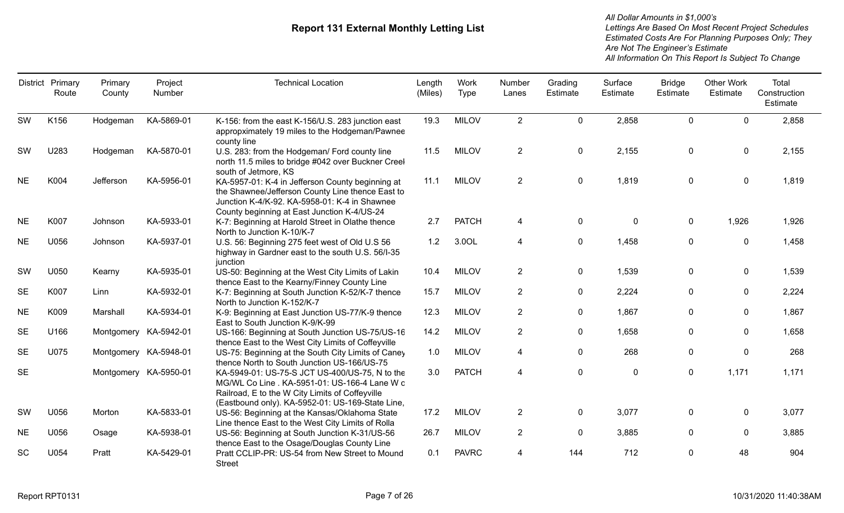|           | District Primary<br>Route | Primary<br>County     | Project<br>Number | <b>Technical Location</b>                                                                                                                                                                              | Length<br>(Miles) | Work<br>Type | Number<br>Lanes | Grading<br>Estimate | Surface<br>Estimate | <b>Bridge</b><br>Estimate | <b>Other Work</b><br>Estimate | Total<br>Construction<br>Estimate |
|-----------|---------------------------|-----------------------|-------------------|--------------------------------------------------------------------------------------------------------------------------------------------------------------------------------------------------------|-------------------|--------------|-----------------|---------------------|---------------------|---------------------------|-------------------------------|-----------------------------------|
| SW        | K156                      | Hodgeman              | KA-5869-01        | K-156: from the east K-156/U.S. 283 junction east<br>appropximately 19 miles to the Hodgeman/Pawnee<br>county line                                                                                     | 19.3              | <b>MILOV</b> | $\overline{2}$  | $\mathbf 0$         | 2,858               | $\mathbf 0$               | $\mathbf 0$                   | 2,858                             |
| SW        | U283                      | Hodgeman              | KA-5870-01        | U.S. 283: from the Hodgeman/ Ford county line<br>north 11.5 miles to bridge #042 over Buckner Creel<br>south of Jetmore, KS                                                                            | 11.5              | <b>MILOV</b> | $\overline{2}$  | 0                   | 2,155               | 0                         | $\mathbf 0$                   | 2,155                             |
| <b>NE</b> | K004                      | Jefferson             | KA-5956-01        | KA-5957-01: K-4 in Jefferson County beginning at<br>the Shawnee/Jefferson County Line thence East to<br>Junction K-4/K-92. KA-5958-01: K-4 in Shawnee<br>County beginning at East Junction K-4/US-24   | 11.1              | <b>MILOV</b> | $\overline{2}$  | $\mathbf 0$         | 1,819               | $\mathbf 0$               | $\mathbf 0$                   | 1,819                             |
| <b>NE</b> | K007                      | Johnson               | KA-5933-01        | K-7: Beginning at Harold Street in Olathe thence<br>North to Junction K-10/K-7                                                                                                                         | 2.7               | <b>PATCH</b> | 4               | $\mathbf 0$         | $\mathbf 0$         | $\pmb{0}$                 | 1,926                         | 1,926                             |
| <b>NE</b> | U056                      | Johnson               | KA-5937-01        | U.S. 56: Beginning 275 feet west of Old U.S 56<br>highway in Gardner east to the south U.S. 56/I-35<br>junction                                                                                        | 1.2               | 3.0OL        | 4               | 0                   | 1,458               | $\mathbf 0$               | 0                             | 1,458                             |
| SW        | U050                      | Kearny                | KA-5935-01        | US-50: Beginning at the West City Limits of Lakin<br>thence East to the Kearny/Finney County Line                                                                                                      | 10.4              | <b>MILOV</b> | $\overline{2}$  | 0                   | 1,539               | 0                         | $\mathbf{0}$                  | 1,539                             |
| <b>SE</b> | K007                      | Linn                  | KA-5932-01        | K-7: Beginning at South Junction K-52/K-7 thence<br>North to Junction K-152/K-7                                                                                                                        | 15.7              | <b>MILOV</b> | $\overline{2}$  | $\mathbf 0$         | 2,224               | $\mathbf 0$               | $\Omega$                      | 2,224                             |
| <b>NE</b> | K009                      | Marshall              | KA-5934-01        | K-9: Beginning at East Junction US-77/K-9 thence<br>East to South Junction K-9/K-99                                                                                                                    | 12.3              | <b>MILOV</b> | $\overline{2}$  | $\mathbf 0$         | 1,867               | $\mathbf 0$               | 0                             | 1,867                             |
| <b>SE</b> | U166                      | Montgomery KA-5942-01 |                   | US-166: Beginning at South Junction US-75/US-16<br>thence East to the West City Limits of Coffeyville                                                                                                  | 14.2              | <b>MILOV</b> | $\overline{2}$  | $\mathbf 0$         | 1,658               | $\mathbf 0$               | $\mathbf{0}$                  | 1,658                             |
| <b>SE</b> | U075                      | Montgomery KA-5948-01 |                   | US-75: Beginning at the South City Limits of Caney<br>thence North to South Junction US-166/US-75                                                                                                      | 1.0               | <b>MILOV</b> | 4               | 0                   | 268                 | $\mathbf{0}$              | $\mathbf{0}$                  | 268                               |
| <b>SE</b> |                           | Montgomery KA-5950-01 |                   | KA-5949-01: US-75-S JCT US-400/US-75, N to the<br>MG/WL Co Line . KA-5951-01: US-166-4 Lane W c<br>Railroad, E to the W City Limits of Coffeyville<br>(Eastbound only). KA-5952-01: US-169-State Line, | 3.0               | <b>PATCH</b> | 4               | $\mathbf 0$         | 0                   | $\mathbf 0$               | 1,171                         | 1,171                             |
| SW        | U056                      | Morton                | KA-5833-01        | US-56: Beginning at the Kansas/Oklahoma State<br>Line thence East to the West City Limits of Rolla                                                                                                     | 17.2              | <b>MILOV</b> | $\overline{2}$  | 0                   | 3,077               | 0                         | 0                             | 3,077                             |
| <b>NE</b> | U056                      | Osage                 | KA-5938-01        | US-56: Beginning at South Junction K-31/US-56<br>thence East to the Osage/Douglas County Line                                                                                                          | 26.7              | <b>MILOV</b> | $\overline{2}$  | $\mathbf 0$         | 3,885               | $\mathbf 0$               | 0                             | 3,885                             |
| <b>SC</b> | U054                      | Pratt                 | KA-5429-01        | Pratt CCLIP-PR: US-54 from New Street to Mound<br><b>Street</b>                                                                                                                                        | 0.1               | <b>PAVRC</b> | 4               | 144                 | 712                 | $\mathbf 0$               | 48                            | 904                               |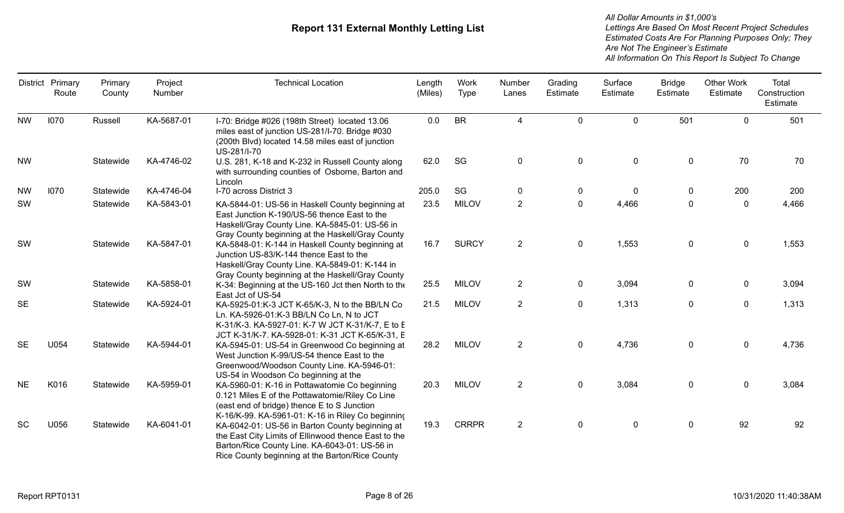|           | District Primary<br>Route | Primary<br>County | Project<br>Number | <b>Technical Location</b>                                                                                                                                                                                   | Length<br>(Miles) | Work<br><b>Type</b> | Number<br>Lanes | Grading<br>Estimate | Surface<br>Estimate | <b>Bridge</b><br>Estimate | <b>Other Work</b><br>Estimate | Total<br>Construction<br>Estimate |
|-----------|---------------------------|-------------------|-------------------|-------------------------------------------------------------------------------------------------------------------------------------------------------------------------------------------------------------|-------------------|---------------------|-----------------|---------------------|---------------------|---------------------------|-------------------------------|-----------------------------------|
| <b>NW</b> | 1070                      | Russell           | KA-5687-01        | I-70: Bridge #026 (198th Street) located 13.06<br>miles east of junction US-281/I-70. Bridge #030<br>(200th Blvd) located 14.58 miles east of junction<br>US-281/I-70                                       | 0.0               | <b>BR</b>           | 4               | $\mathbf 0$         | $\mathbf 0$         | 501                       | $\mathbf 0$                   | 501                               |
| <b>NW</b> |                           | Statewide         | KA-4746-02        | U.S. 281, K-18 and K-232 in Russell County along<br>with surrounding counties of Osborne, Barton and<br>Lincoln                                                                                             | 62.0              | SG                  | $\mathbf 0$     | $\mathbf 0$         | $\pmb{0}$           | $\mathbf 0$               | 70                            | 70                                |
| <b>NW</b> | 1070                      | Statewide         | KA-4746-04        | I-70 across District 3                                                                                                                                                                                      | 205.0             | SG                  | 0               | $\boldsymbol{0}$    | $\mathbf 0$         | 0                         | 200                           | 200                               |
| SW        |                           | Statewide         | KA-5843-01        | KA-5844-01: US-56 in Haskell County beginning at<br>East Junction K-190/US-56 thence East to the<br>Haskell/Gray County Line. KA-5845-01: US-56 in<br>Gray County beginning at the Haskell/Gray County      | 23.5              | <b>MILOV</b>        | 2               | $\mathbf 0$         | 4,466               | $\mathbf 0$               | $\mathbf 0$                   | 4,466                             |
| SW        |                           | Statewide         | KA-5847-01        | KA-5848-01: K-144 in Haskell County beginning at<br>Junction US-83/K-144 thence East to the<br>Haskell/Gray County Line. KA-5849-01: K-144 in<br>Gray County beginning at the Haskell/Gray County           | 16.7              | <b>SURCY</b>        | $2^{\circ}$     | $\mathbf 0$         | 1,553               | $\mathbf 0$               | $\mathbf 0$                   | 1,553                             |
| SW        |                           | Statewide         | KA-5858-01        | K-34: Beginning at the US-160 Jct then North to the<br>East Jct of US-54                                                                                                                                    | 25.5              | <b>MILOV</b>        | $\overline{2}$  | $\mathbf 0$         | 3,094               | $\mathbf 0$               | 0                             | 3,094                             |
| <b>SE</b> |                           | Statewide         | KA-5924-01        | KA-5925-01:K-3 JCT K-65/K-3, N to the BB/LN Co<br>Ln. KA-5926-01:K-3 BB/LN Co Ln, N to JCT<br>K-31/K-3. KA-5927-01: K-7 W JCT K-31/K-7, E to E<br>JCT K-31/K-7. KA-5928-01: K-31 JCT K-65/K-31, E           | 21.5              | <b>MILOV</b>        | $\overline{2}$  | $\mathbf 0$         | 1,313               | $\mathbf 0$               | $\mathbf 0$                   | 1,313                             |
| <b>SE</b> | U054                      | Statewide         | KA-5944-01        | KA-5945-01: US-54 in Greenwood Co beginning at<br>West Junction K-99/US-54 thence East to the<br>Greenwood/Woodson County Line. KA-5946-01:<br>US-54 in Woodson Co beginning at the                         | 28.2              | <b>MILOV</b>        | $\overline{2}$  | $\mathbf 0$         | 4,736               | $\mathbf 0$               | $\mathbf 0$                   | 4,736                             |
| <b>NE</b> | K016                      | Statewide         | KA-5959-01        | KA-5960-01: K-16 in Pottawatomie Co beginning<br>0.121 Miles E of the Pottawatomie/Riley Co Line<br>(east end of bridge) thence E to S Junction<br>K-16/K-99. KA-5961-01: K-16 in Riley Co beginning        | 20.3              | <b>MILOV</b>        | $\overline{2}$  | $\mathbf 0$         | 3,084               | $\mathbf 0$               | 0                             | 3,084                             |
| SC        | U056                      | Statewide         | KA-6041-01        | KA-6042-01: US-56 in Barton County beginning at<br>the East City Limits of Ellinwood thence East to the<br>Barton/Rice County Line. KA-6043-01: US-56 in<br>Rice County beginning at the Barton/Rice County | 19.3              | <b>CRRPR</b>        | $\overline{2}$  | $\mathbf 0$         | $\pmb{0}$           | $\mathbf 0$               | 92                            | 92                                |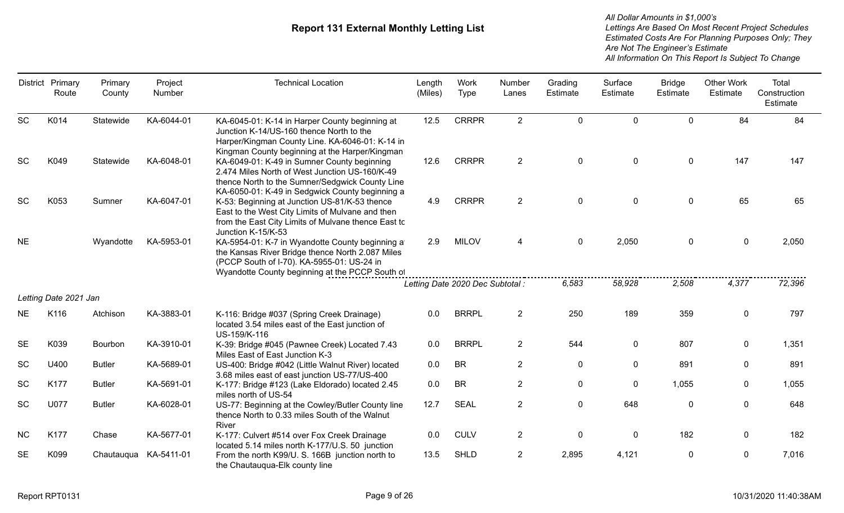|           | District Primary<br>Route | Primary<br>County | Project<br>Number | <b>Technical Location</b>                                                                                                                                                                            | Length<br>(Miles) | Work<br><b>Type</b>              | Number<br>Lanes | Grading<br><b>Estimate</b> | Surface<br>Estimate | <b>Bridge</b><br>Estimate | <b>Other Work</b><br>Estimate | Total<br>Construction<br>Estimate |
|-----------|---------------------------|-------------------|-------------------|------------------------------------------------------------------------------------------------------------------------------------------------------------------------------------------------------|-------------------|----------------------------------|-----------------|----------------------------|---------------------|---------------------------|-------------------------------|-----------------------------------|
| <b>SC</b> | K014                      | Statewide         | KA-6044-01        | KA-6045-01: K-14 in Harper County beginning at<br>Junction K-14/US-160 thence North to the<br>Harper/Kingman County Line. KA-6046-01: K-14 in<br>Kingman County beginning at the Harper/Kingman      | 12.5              | <b>CRRPR</b>                     | $\overline{2}$  | $\mathbf 0$                | $\mathbf 0$         | $\mathbf 0$               | 84                            | 84                                |
| <b>SC</b> | K049                      | Statewide         | KA-6048-01        | KA-6049-01: K-49 in Sumner County beginning<br>2.474 Miles North of West Junction US-160/K-49<br>thence North to the Sumner/Sedgwick County Line<br>KA-6050-01: K-49 in Sedgwick County beginning a  | 12.6              | <b>CRRPR</b>                     | $\overline{2}$  | $\mathbf 0$                | $\mathbf 0$         | $\mathbf 0$               | 147                           | 147                               |
| <b>SC</b> | K053                      | Sumner            | KA-6047-01        | K-53: Beginning at Junction US-81/K-53 thence<br>East to the West City Limits of Mulvane and then<br>from the East City Limits of Mulvane thence East to<br>Junction K-15/K-53                       | 4.9               | <b>CRRPR</b>                     | $\overline{2}$  | $\mathbf 0$                | $\mathbf 0$         | $\mathbf 0$               | 65                            | 65                                |
| <b>NE</b> |                           | Wyandotte         | KA-5953-01        | KA-5954-01: K-7 in Wyandotte County beginning a<br>the Kansas River Bridge thence North 2.087 Miles<br>(PCCP South of I-70). KA-5955-01: US-24 in<br>Wyandotte County beginning at the PCCP South of | 2.9               | <b>MILOV</b>                     | 4               | $\mathbf 0$                | 2,050               | $\mathbf 0$               | $\mathbf 0$                   | 2,050                             |
|           |                           |                   |                   |                                                                                                                                                                                                      |                   | Letting Date 2020 Dec Subtotal : |                 | 6,583                      | 58,928              | 2,508                     | 4,377                         | 72,396                            |
|           | Letting Date 2021 Jan     |                   |                   |                                                                                                                                                                                                      |                   |                                  |                 |                            |                     |                           |                               |                                   |
| <b>NE</b> | K116                      | Atchison          | KA-3883-01        | K-116: Bridge #037 (Spring Creek Drainage)<br>located 3.54 miles east of the East junction of<br>US-159/K-116                                                                                        | 0.0               | <b>BRRPL</b>                     | $2^{\circ}$     | 250                        | 189                 | 359                       | 0                             | 797                               |
| <b>SE</b> | K039                      | Bourbon           | KA-3910-01        | K-39: Bridge #045 (Pawnee Creek) Located 7.43<br>Miles East of East Junction K-3                                                                                                                     | 0.0               | <b>BRRPL</b>                     | $\overline{2}$  | 544                        | $\mathbf 0$         | 807                       | $\mathbf 0$                   | 1,351                             |
| <b>SC</b> | U400                      | <b>Butler</b>     | KA-5689-01        | US-400: Bridge #042 (Little Walnut River) located<br>3.68 miles east of east junction US-77/US-400                                                                                                   | 0.0               | <b>BR</b>                        | $\overline{2}$  | $\mathbf 0$                | 0                   | 891                       | $\mathbf 0$                   | 891                               |
| SC        | K177                      | <b>Butler</b>     | KA-5691-01        | K-177: Bridge #123 (Lake Eldorado) located 2.45<br>miles north of US-54                                                                                                                              | 0.0               | <b>BR</b>                        | $\overline{2}$  | $\mathbf 0$                | $\mathbf 0$         | 1,055                     | $\mathbf 0$                   | 1,055                             |
| <b>SC</b> | U077                      | <b>Butler</b>     | KA-6028-01        | US-77: Beginning at the Cowley/Butler County line<br>thence North to 0.33 miles South of the Walnut<br>River                                                                                         | 12.7              | <b>SEAL</b>                      | $\overline{2}$  | $\mathbf 0$                | 648                 | $\mathbf 0$               | 0                             | 648                               |
| <b>NC</b> | K177                      | Chase             | KA-5677-01        | K-177: Culvert #514 over Fox Creek Drainage<br>located 5.14 miles north K-177/U.S. 50 junction                                                                                                       | 0.0               | <b>CULV</b>                      | $\overline{2}$  | $\pmb{0}$                  | $\pmb{0}$           | 182                       | $\mathbf 0$                   | 182                               |
| <b>SE</b> | K099                      | Chautauqua        | KA-5411-01        | From the north K99/U. S. 166B junction north to<br>the Chautauqua-Elk county line                                                                                                                    | 13.5              | <b>SHLD</b>                      | $\overline{2}$  | 2,895                      | 4,121               | $\mathbf 0$               | $\mathbf 0$                   | 7,016                             |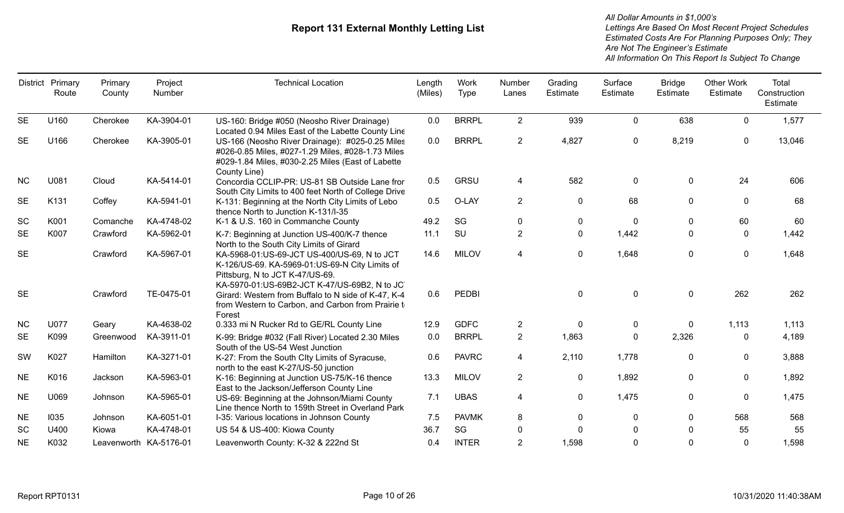|           | District Primary<br>Route | Primary<br>County      | Project<br>Number | <b>Technical Location</b>                                                                                                                                                                                                       | Length<br>(Miles) | Work<br><b>Type</b> | Number<br>Lanes | Grading<br>Estimate | Surface<br>Estimate | <b>Bridge</b><br>Estimate | <b>Other Work</b><br>Estimate | Total<br>Construction<br>Estimate |
|-----------|---------------------------|------------------------|-------------------|---------------------------------------------------------------------------------------------------------------------------------------------------------------------------------------------------------------------------------|-------------------|---------------------|-----------------|---------------------|---------------------|---------------------------|-------------------------------|-----------------------------------|
| <b>SE</b> | U160                      | Cherokee               | KA-3904-01        | US-160: Bridge #050 (Neosho River Drainage)                                                                                                                                                                                     | 0.0               | <b>BRRPL</b>        | $2^{\circ}$     | 939                 | 0                   | 638                       | $\Omega$                      | 1,577                             |
| <b>SE</b> | U166                      | Cherokee               | KA-3905-01        | Located 0.94 Miles East of the Labette County Line<br>US-166 (Neosho River Drainage): #025-0.25 Miles<br>#026-0.85 Miles, #027-1.29 Miles, #028-1.73 Miles<br>#029-1.84 Miles, #030-2.25 Miles (East of Labette<br>County Line) | 0.0               | <b>BRRPL</b>        | $\overline{2}$  | 4,827               | 0                   | 8,219                     | $\mathbf 0$                   | 13,046                            |
| <b>NC</b> | U081                      | Cloud                  | KA-5414-01        | Concordia CCLIP-PR: US-81 SB Outside Lane fror<br>South City Limits to 400 feet North of College Drive                                                                                                                          | 0.5               | GRSU                | 4               | 582                 | $\mathbf 0$         | $\mathbf 0$               | 24                            | 606                               |
| <b>SE</b> | K131                      | Coffey                 | KA-5941-01        | K-131: Beginning at the North City Limits of Lebo<br>thence North to Junction K-131/I-35                                                                                                                                        | 0.5               | O-LAY               | $\overline{2}$  | 0                   | 68                  | $\mathbf 0$               | $\mathbf{0}$                  | 68                                |
| SC        | K001                      | Comanche               | KA-4748-02        | K-1 & U.S. 160 in Commanche County                                                                                                                                                                                              | 49.2              | SG                  | $\Omega$        | 0                   | 0                   | $\mathbf{0}$              | 60                            | 60                                |
| <b>SE</b> | K007                      | Crawford               | KA-5962-01        | K-7: Beginning at Junction US-400/K-7 thence<br>North to the South City Limits of Girard                                                                                                                                        | 11.1              | SU                  | $\overline{2}$  | $\mathbf 0$         | 1,442               | 0                         | 0                             | 1,442                             |
| <b>SE</b> |                           | Crawford               | KA-5967-01        | KA-5968-01:US-69-JCT US-400/US-69, N to JCT<br>K-126/US-69. KA-5969-01:US-69-N City Limits of<br>Pittsburg, N to JCT K-47/US-69.<br>KA-5970-01:US-69B2-JCT K-47/US-69B2, N to JC                                                | 14.6              | <b>MILOV</b>        | 4               | $\mathbf 0$         | 1,648               | $\mathbf 0$               | 0                             | 1,648                             |
| <b>SE</b> |                           | Crawford               | TE-0475-01        | Girard: Western from Buffalo to N side of K-47, K-4<br>from Western to Carbon, and Carbon from Prairie t<br>Forest                                                                                                              | 0.6               | <b>PEDBI</b>        |                 | $\mathbf 0$         | 0                   | 0                         | 262                           | 262                               |
| <b>NC</b> | <b>U077</b>               | Geary                  | KA-4638-02        | 0.333 mi N Rucker Rd to GE/RL County Line                                                                                                                                                                                       | 12.9              | <b>GDFC</b>         | $\overline{2}$  | $\mathbf 0$         | 0                   | 0                         | 1,113                         | 1,113                             |
| <b>SE</b> | K099                      | Greenwood              | KA-3911-01        | K-99: Bridge #032 (Fall River) Located 2.30 Miles<br>South of the US-54 West Junction                                                                                                                                           | 0.0               | <b>BRRPL</b>        | $\overline{2}$  | 1,863               | $\mathbf{0}$        | 2,326                     | $\Omega$                      | 4,189                             |
| SW        | K027                      | Hamilton               | KA-3271-01        | K-27: From the South Clty Limits of Syracuse,<br>north to the east K-27/US-50 junction                                                                                                                                          | 0.6               | <b>PAVRC</b>        | 4               | 2,110               | 1,778               | $\mathbf 0$               | $\Omega$                      | 3,888                             |
| <b>NE</b> | K016                      | Jackson                | KA-5963-01        | K-16: Beginning at Junction US-75/K-16 thence<br>East to the Jackson/Jefferson County Line                                                                                                                                      | 13.3              | <b>MILOV</b>        | $\overline{2}$  | 0                   | 1,892               | $\Omega$                  | $\mathbf{0}$                  | 1,892                             |
| <b>NE</b> | U069                      | Johnson                | KA-5965-01        | US-69: Beginning at the Johnson/Miami County<br>Line thence North to 159th Street in Overland Park                                                                                                                              | 7.1               | <b>UBAS</b>         | 4               | $\mathbf{0}$        | 1,475               | $\mathbf{0}$              | 0                             | 1,475                             |
| <b>NE</b> | 1035                      | Johnson                | KA-6051-01        | I-35: Various locations in Johnson County                                                                                                                                                                                       | 7.5               | <b>PAVMK</b>        | 8               | $\mathbf{0}$        | 0                   | $\Omega$                  | 568                           | 568                               |
| <b>SC</b> | U400                      | Kiowa                  | KA-4748-01        | US 54 & US-400: Kiowa County                                                                                                                                                                                                    | 36.7              | SG                  | 0               | $\Omega$            |                     |                           | 55                            | 55                                |
| <b>NE</b> | K032                      | Leavenworth KA-5176-01 |                   | Leavenworth County: K-32 & 222nd St                                                                                                                                                                                             | 0.4               | <b>INTER</b>        | $\overline{2}$  | 1,598               | 0                   |                           | $\mathbf 0$                   | 1,598                             |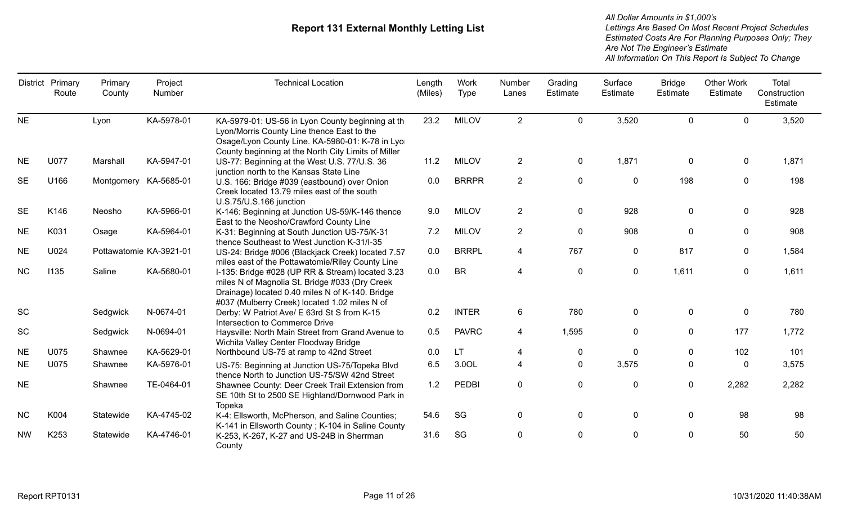|           | District Primary<br>Route | Primary<br>County       | Project<br>Number | <b>Technical Location</b>                                                                                                                                                                                | Length<br>(Miles) | Work<br>Type | Number<br>Lanes | Grading<br>Estimate | Surface<br>Estimate | <b>Bridge</b><br>Estimate | Other Work<br>Estimate | Total<br>Construction<br>Estimate |
|-----------|---------------------------|-------------------------|-------------------|----------------------------------------------------------------------------------------------------------------------------------------------------------------------------------------------------------|-------------------|--------------|-----------------|---------------------|---------------------|---------------------------|------------------------|-----------------------------------|
| <b>NE</b> |                           | Lyon                    | KA-5978-01        | KA-5979-01: US-56 in Lyon County beginning at th<br>Lyon/Morris County Line thence East to the<br>Osage/Lyon County Line. KA-5980-01: K-78 in Lyo<br>County beginning at the North City Limits of Miller | 23.2              | <b>MILOV</b> | $2^{\circ}$     | $\mathbf{0}$        | 3,520               | $\mathbf{0}$              | $\Omega$               | 3,520                             |
| <b>NE</b> | U077                      | Marshall                | KA-5947-01        | US-77: Beginning at the West U.S. 77/U.S. 36<br>junction north to the Kansas State Line                                                                                                                  | 11.2              | <b>MILOV</b> | $\overline{2}$  | 0                   | 1,871               | $\mathbf{0}$              | $\mathbf{0}$           | 1,871                             |
| <b>SE</b> | U166                      | Montgomery KA-5685-01   |                   | U.S. 166: Bridge #039 (eastbound) over Onion<br>Creek located 13.79 miles east of the south<br>U.S.75/U.S.166 junction                                                                                   | 0.0               | <b>BRRPR</b> | $2^{\circ}$     | $\mathbf 0$         | 0                   | 198                       | $\mathbf{0}$           | 198                               |
| <b>SE</b> | K146                      | Neosho                  | KA-5966-01        | K-146: Beginning at Junction US-59/K-146 thence<br>East to the Neosho/Crawford County Line                                                                                                               | 9.0               | <b>MILOV</b> | $2^{\circ}$     | $\mathbf 0$         | 928                 | $\mathbf 0$               | $\Omega$               | 928                               |
| <b>NE</b> | K031                      | Osage                   | KA-5964-01        | K-31: Beginning at South Junction US-75/K-31<br>thence Southeast to West Junction K-31/I-35                                                                                                              | 7.2               | <b>MILOV</b> | $2^{\circ}$     | $\Omega$            | 908                 | $\Omega$                  | $\Omega$               | 908                               |
| <b>NE</b> | U024                      | Pottawatomie KA-3921-01 |                   | US-24: Bridge #006 (Blackjack Creek) located 7.57<br>miles east of the Pottawatomie/Riley County Line                                                                                                    | 0.0               | <b>BRRPL</b> | 4               | 767                 | $\mathbf{0}$        | 817                       | $\Omega$               | 1,584                             |
| <b>NC</b> | 1135                      | Saline                  | KA-5680-01        | I-135: Bridge #028 (UP RR & Stream) located 3.23<br>miles N of Magnolia St. Bridge #033 (Dry Creek<br>Drainage) located 0.40 miles N of K-140. Bridge<br>#037 (Mulberry Creek) located 1.02 miles N of   | 0.0               | <b>BR</b>    | 4               | $\mathbf 0$         | 0                   | 1,611                     | $\mathbf{0}$           | 1,611                             |
| <b>SC</b> |                           | Sedgwick                | N-0674-01         | Derby: W Patriot Ave/ E 63rd St S from K-15<br>Intersection to Commerce Drive                                                                                                                            | 0.2               | <b>INTER</b> | 6               | 780                 | 0                   | $\mathbf{0}$              | $\mathbf{0}$           | 780                               |
| <b>SC</b> |                           | Sedgwick                | N-0694-01         | Haysville: North Main Street from Grand Avenue to<br>Wichita Valley Center Floodway Bridge                                                                                                               | 0.5               | <b>PAVRC</b> | 4               | 1,595               | 0                   | $\mathbf{0}$              | 177                    | 1,772                             |
| <b>NE</b> | U075                      | Shawnee                 | KA-5629-01        | Northbound US-75 at ramp to 42nd Street                                                                                                                                                                  | 0.0               | <b>LT</b>    | 4               | 0                   | 0                   | $\mathbf{0}$              | 102                    | 101                               |
| <b>NE</b> | U075                      | Shawnee                 | KA-5976-01        | US-75: Beginning at Junction US-75/Topeka Blvd<br>thence North to Junction US-75/SW 42nd Street                                                                                                          | 6.5               | 3.0OL        | 4               | $\mathbf 0$         | 3,575               | $\mathbf 0$               | $\mathbf 0$            | 3,575                             |
| <b>NE</b> |                           | Shawnee                 | TE-0464-01        | Shawnee County: Deer Creek Trail Extension from<br>SE 10th St to 2500 SE Highland/Dornwood Park in<br>Topeka                                                                                             | 1.2               | <b>PEDBI</b> | 0               | $\mathbf 0$         | 0                   | 0                         | 2,282                  | 2,282                             |
| <b>NC</b> | K004                      | Statewide               | KA-4745-02        | K-4: Ellsworth, McPherson, and Saline Counties;<br>K-141 in Ellsworth County; K-104 in Saline County                                                                                                     | 54.6              | SG           | 0               | $\mathbf{0}$        | 0                   | $\mathbf{0}$              | 98                     | 98                                |
| <b>NW</b> | K253                      | Statewide               | KA-4746-01        | K-253, K-267, K-27 and US-24B in Sherrman<br>County                                                                                                                                                      | 31.6              | SG           | 0               | $\Omega$            | 0                   | $\Omega$                  | 50                     | 50                                |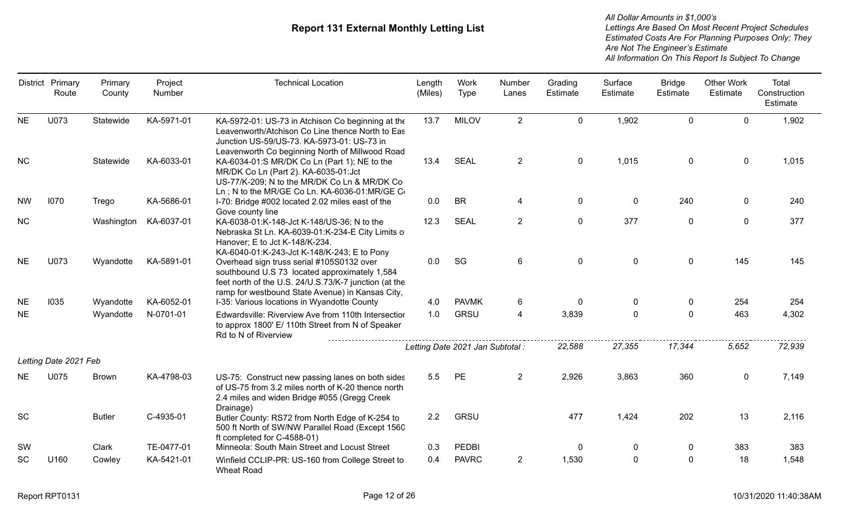|           | District Primary<br>Route | Primary<br>County | Project<br>Number | <b>Technical Location</b>                                                                                                                                                                               | Length<br>(Miles) | Work<br><b>Type</b>              | Number<br>Lanes | Grading<br>Estimate | Surface<br>Estimate | <b>Bridge</b><br>Estimate | <b>Other Work</b><br>Estimate | Total<br>Construction<br>Estimate |
|-----------|---------------------------|-------------------|-------------------|---------------------------------------------------------------------------------------------------------------------------------------------------------------------------------------------------------|-------------------|----------------------------------|-----------------|---------------------|---------------------|---------------------------|-------------------------------|-----------------------------------|
| <b>NE</b> | U073                      | Statewide         | KA-5971-01        | KA-5972-01: US-73 in Atchison Co beginning at the<br>Leavenworth/Atchison Co Line thence North to Eas<br>Junction US-59/US-73. KA-5973-01: US-73 in<br>Leavenworth Co beginning North of Millwood Road  | 13.7              | <b>MILOV</b>                     | $\overline{2}$  | $\mathbf 0$         | 1,902               | $\Omega$                  | $\Omega$                      | 1,902                             |
| NC        |                           | Statewide         | KA-6033-01        | KA-6034-01:S MR/DK Co Ln (Part 1); NE to the<br>MR/DK Co Ln (Part 2). KA-6035-01:Jct<br>US-77/K-209; N to the MR/DK Co Ln & MR/DK Co<br>Ln; N to the MR/GE Co Ln. KA-6036-01:MR/GE Co                   | 13.4              | <b>SEAL</b>                      | $\overline{2}$  | $\mathbf 0$         | 1,015               | $\mathbf 0$               | $\mathbf 0$                   | 1,015                             |
| <b>NW</b> | 1070                      | Trego             | KA-5686-01        | I-70: Bridge #002 located 2.02 miles east of the<br>Gove county line                                                                                                                                    | 0.0               | <b>BR</b>                        | $\overline{4}$  | $\mathbf 0$         | $\mathbf 0$         | 240                       | $\mathbf 0$                   | 240                               |
| NC        |                           | Washington        | KA-6037-01        | KA-6038-01:K-148-Jct K-148/US-36; N to the<br>Nebraska St Ln. KA-6039-01:K-234-E City Limits of<br>Hanover; E to Jct K-148/K-234.<br>KA-6040-01:K-243-Jct K-148/K-243; E to Pony                        | 12.3              | <b>SEAL</b>                      | $\overline{2}$  | $\mathbf 0$         | 377                 | $\mathbf 0$               | $\mathbf 0$                   | 377                               |
| <b>NE</b> | U073                      | Wyandotte         | KA-5891-01        | Overhead sign truss serial #105S0132 over<br>southbound U.S 73 located approximately 1,584<br>feet north of the U.S. 24/U.S.73/K-7 junction (at the<br>ramp for westbound State Avenue) in Kansas City, | 0.0               | SG                               | $6\phantom{1}$  | $\mathbf 0$         | $\mathbf 0$         | $\mathbf 0$               | 145                           | 145                               |
| <b>NE</b> | 1035                      | Wyandotte         | KA-6052-01        | I-35: Various locations in Wyandotte County                                                                                                                                                             | 4.0               | <b>PAVMK</b>                     | 6               | $\mathbf{0}$        | $\mathbf{0}$        | $\mathbf{0}$              | 254                           | 254                               |
| <b>NE</b> |                           | Wyandotte         | N-0701-01         | Edwardsville: Riverview Ave from 110th Intersection<br>to approx 1800' E/ 110th Street from N of Speaker<br>Rd to N of Riverview                                                                        | 1.0               | <b>GRSU</b>                      | 4               | 3,839               | $\Omega$            | $\Omega$                  | 463                           | 4,302                             |
|           |                           |                   |                   |                                                                                                                                                                                                         |                   | Letting Date 2021 Jan Subtotal : |                 | 22,588              | 27,355              | 17,344                    | 5,652                         | 72,939                            |
|           | Letting Date 2021 Feb     |                   |                   |                                                                                                                                                                                                         |                   |                                  |                 |                     |                     |                           |                               |                                   |
| <b>NE</b> | U075                      | <b>Brown</b>      | KA-4798-03        | US-75: Construct new passing lanes on both sides<br>of US-75 from 3.2 miles north of K-20 thence north<br>2.4 miles and widen Bridge #055 (Gregg Creek<br>Drainage)                                     | 5.5               | <b>PE</b>                        | $\overline{2}$  | 2,926               | 3,863               | 360                       | $\mathbf 0$                   | 7,149                             |
| <b>SC</b> |                           | <b>Butler</b>     | C-4935-01         | Butler County: RS72 from North Edge of K-254 to<br>500 ft North of SW/NW Parallel Road (Except 1560<br>ft completed for C-4588-01)                                                                      | 2.2               | <b>GRSU</b>                      |                 | 477                 | 1,424               | 202                       | 13                            | 2,116                             |
| SW        |                           | Clark             | TE-0477-01        | Minneola: South Main Street and Locust Street                                                                                                                                                           | 0.3               | <b>PEDBI</b>                     |                 | $\mathbf 0$         | 0                   | $\mathbf 0$               | 383                           | 383                               |
| <b>SC</b> | U160                      | Cowley            | KA-5421-01        | Winfield CCLIP-PR: US-160 from College Street to<br><b>Wheat Road</b>                                                                                                                                   | 0.4               | <b>PAVRC</b>                     | $\overline{2}$  | 1,530               | $\mathbf 0$         | 0                         | 18                            | 1,548                             |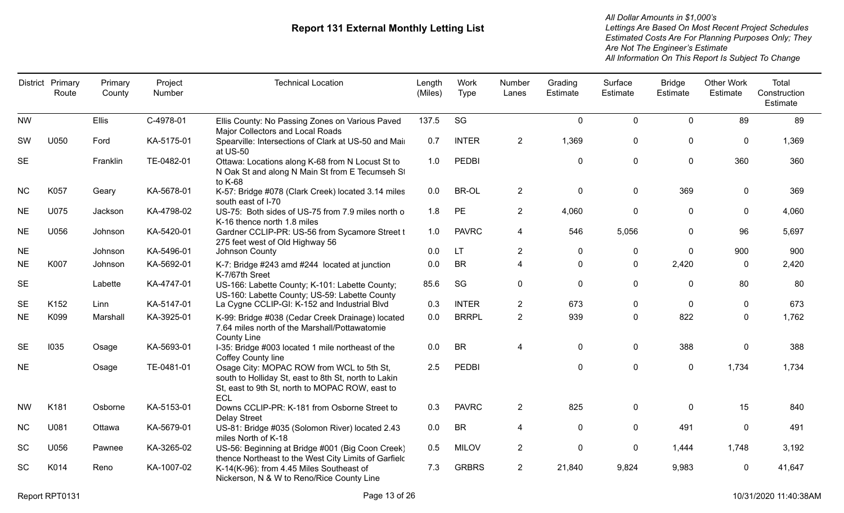|           | District Primary<br>Route | Primary<br>County | Project<br>Number | <b>Technical Location</b>                                                                                                                                   | Length<br>(Miles) | Work<br>Type | Number<br>Lanes | Grading<br>Estimate | Surface<br>Estimate | <b>Bridge</b><br>Estimate | <b>Other Work</b><br>Estimate | Total<br>Construction<br>Estimate |
|-----------|---------------------------|-------------------|-------------------|-------------------------------------------------------------------------------------------------------------------------------------------------------------|-------------------|--------------|-----------------|---------------------|---------------------|---------------------------|-------------------------------|-----------------------------------|
| <b>NW</b> |                           | <b>Ellis</b>      | C-4978-01         | Ellis County: No Passing Zones on Various Paved<br>Major Collectors and Local Roads                                                                         | 137.5             | SG           |                 | $\mathbf 0$         | 0                   | $\mathbf 0$               | 89                            | 89                                |
| <b>SW</b> | U050                      | Ford              | KA-5175-01        | Spearville: Intersections of Clark at US-50 and Mair<br>at US-50                                                                                            | 0.7               | <b>INTER</b> | $\overline{2}$  | 1,369               | 0                   | $\mathbf 0$               | 0                             | 1,369                             |
| <b>SE</b> |                           | Franklin          | TE-0482-01        | Ottawa: Locations along K-68 from N Locust St to<br>N Oak St and along N Main St from E Tecumseh St<br>to K-68                                              | 1.0               | <b>PEDBI</b> |                 | $\mathbf 0$         | 0                   | $\boldsymbol{0}$          | 360                           | 360                               |
| <b>NC</b> | K057                      | Geary             | KA-5678-01        | K-57: Bridge #078 (Clark Creek) located 3.14 miles<br>south east of I-70                                                                                    | 0.0               | BR-OL        | $\overline{2}$  | $\mathbf 0$         | 0                   | 369                       | $\mathbf{0}$                  | 369                               |
| <b>NE</b> | U075                      | Jackson           | KA-4798-02        | US-75: Both sides of US-75 from 7.9 miles north o<br>K-16 thence north 1.8 miles                                                                            | 1.8               | PE           | $\overline{2}$  | 4,060               | 0                   | $\boldsymbol{0}$          | 0                             | 4,060                             |
| <b>NE</b> | U056                      | Johnson           | KA-5420-01        | Gardner CCLIP-PR: US-56 from Sycamore Street t<br>275 feet west of Old Highway 56                                                                           | 1.0               | <b>PAVRC</b> | 4               | 546                 | 5,056               | 0                         | 96                            | 5,697                             |
| <b>NE</b> |                           | Johnson           | KA-5496-01        | Johnson County                                                                                                                                              | 0.0               | <b>LT</b>    | $\overline{2}$  | $\mathbf 0$         | 0                   | $\mathbf 0$               | 900                           | 900                               |
| <b>NE</b> | K007                      | Johnson           | KA-5692-01        | K-7: Bridge #243 amd #244 located at junction<br>K-7/67th Sreet                                                                                             | 0.0               | <b>BR</b>    | 4               | $\mathbf{0}$        | 0                   | 2,420                     | $\Omega$                      | 2,420                             |
| <b>SE</b> |                           | Labette           | KA-4747-01        | US-166: Labette County; K-101: Labette County;<br>US-160: Labette County; US-59: Labette County                                                             | 85.6              | SG           | $\mathbf{0}$    | $\mathbf 0$         | 0                   | $\mathbf{0}$              | 80                            | 80                                |
| <b>SE</b> | K152                      | Linn              | KA-5147-01        | La Cygne CCLIP-GI: K-152 and Industrial Blvd                                                                                                                | 0.3               | <b>INTER</b> | $\overline{2}$  | 673                 | 0                   | $\mathbf 0$               | 0                             | 673                               |
| <b>NE</b> | K099                      | Marshall          | KA-3925-01        | K-99: Bridge #038 (Cedar Creek Drainage) located<br>7.64 miles north of the Marshall/Pottawatomie<br><b>County Line</b>                                     | 0.0               | <b>BRRPL</b> | $\overline{2}$  | 939                 | 0                   | 822                       | 0                             | 1,762                             |
| <b>SE</b> | 1035                      | Osage             | KA-5693-01        | I-35: Bridge #003 located 1 mile northeast of the<br>Coffey County line                                                                                     | 0.0               | <b>BR</b>    | 4               | $\mathbf 0$         | 0                   | 388                       | 0                             | 388                               |
| <b>NE</b> |                           | Osage             | TE-0481-01        | Osage City: MOPAC ROW from WCL to 5th St,<br>south to Holliday St, east to 8th St, north to Lakin<br>St, east to 9th St, north to MOPAC ROW, east to<br>ECL | 2.5               | <b>PEDBI</b> |                 | $\mathbf 0$         | 0                   | $\mathbf 0$               | 1,734                         | 1,734                             |
| <b>NW</b> | K181                      | Osborne           | KA-5153-01        | Downs CCLIP-PR: K-181 from Osborne Street to<br><b>Delay Street</b>                                                                                         | 0.3               | <b>PAVRC</b> | $\overline{2}$  | 825                 | 0                   | $\mathbf{0}$              | 15                            | 840                               |
| <b>NC</b> | U081                      | Ottawa            | KA-5679-01        | US-81: Bridge #035 (Solomon River) located 2.43<br>miles North of K-18                                                                                      | 0.0               | <b>BR</b>    | 4               | $\mathbf 0$         | 0                   | 491                       | $\mathbf{0}$                  | 491                               |
| SC        | U056                      | Pawnee            | KA-3265-02        | US-56: Beginning at Bridge #001 (Big Coon Creek)<br>thence Northeast to the West City Limits of Garfield                                                    | 0.5               | <b>MILOV</b> | $\overline{2}$  | $\mathbf 0$         | 0                   | 1,444                     | 1,748                         | 3,192                             |
| SC        | K014                      | Reno              | KA-1007-02        | K-14(K-96): from 4.45 Miles Southeast of<br>Nickerson, N & W to Reno/Rice County Line                                                                       | 7.3               | <b>GRBRS</b> | $\overline{2}$  | 21,840              | 9,824               | 9,983                     | 0                             | 41,647                            |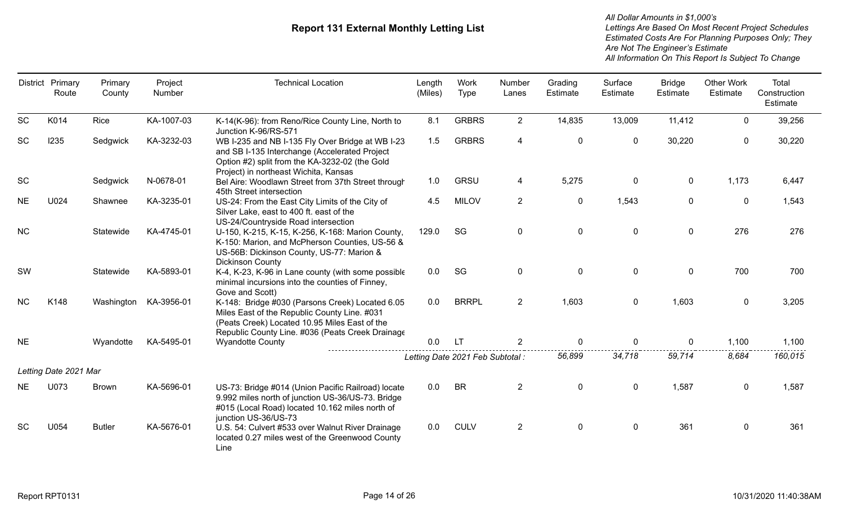|           | District Primary<br>Route | Primary<br>County | Project<br>Number | <b>Technical Location</b>                                                                                                                                                                            | Length<br>(Miles) | Work<br><b>Type</b>              | Number<br>Lanes | Grading<br>Estimate | Surface<br>Estimate | <b>Bridge</b><br>Estimate | <b>Other Work</b><br>Estimate | Total<br>Construction<br>Estimate |
|-----------|---------------------------|-------------------|-------------------|------------------------------------------------------------------------------------------------------------------------------------------------------------------------------------------------------|-------------------|----------------------------------|-----------------|---------------------|---------------------|---------------------------|-------------------------------|-----------------------------------|
| SC        | K014                      | Rice              | KA-1007-03        | K-14(K-96): from Reno/Rice County Line, North to<br>Junction K-96/RS-571                                                                                                                             | 8.1               | <b>GRBRS</b>                     | $\overline{2}$  | 14,835              | 13,009              | 11,412                    | $\mathbf 0$                   | 39,256                            |
| SC        | 1235                      | Sedgwick          | KA-3232-03        | WB I-235 and NB I-135 Fly Over Bridge at WB I-23<br>and SB I-135 Interchange (Accelerated Project<br>Option #2) split from the KA-3232-02 (the Gold<br>Project) in northeast Wichita, Kansas         | 1.5               | <b>GRBRS</b>                     | 4               | $\mathbf 0$         | $\mathbf 0$         | 30,220                    | $\mathbf 0$                   | 30,220                            |
| SC        |                           | Sedgwick          | N-0678-01         | Bel Aire: Woodlawn Street from 37th Street through<br>45th Street intersection                                                                                                                       | 1.0               | <b>GRSU</b>                      | 4               | 5,275               | $\mathbf 0$         | $\mathbf 0$               | 1,173                         | 6,447                             |
| <b>NE</b> | U024                      | Shawnee           | KA-3235-01        | US-24: From the East City Limits of the City of<br>Silver Lake, east to 400 ft. east of the<br>US-24/Countryside Road intersection                                                                   | 4.5               | <b>MILOV</b>                     | $\overline{2}$  | $\mathbf 0$         | 1,543               | $\mathbf 0$               | $\mathbf 0$                   | 1,543                             |
| <b>NC</b> |                           | Statewide         | KA-4745-01        | U-150, K-215, K-15, K-256, K-168: Marion County,<br>K-150: Marion, and McPherson Counties, US-56 &<br>US-56B: Dickinson County, US-77: Marion &<br><b>Dickinson County</b>                           | 129.0             | SG                               | $\mathbf{0}$    | $\mathbf 0$         | $\mathbf 0$         | $\mathbf 0$               | 276                           | 276                               |
| SW        |                           | Statewide         | KA-5893-01        | K-4, K-23, K-96 in Lane county (with some possible<br>minimal incursions into the counties of Finney,<br>Gove and Scott)                                                                             | 0.0               | SG                               | 0               | $\mathbf 0$         | $\mathbf 0$         | $\mathbf 0$               | 700                           | 700                               |
| <b>NC</b> | K148                      | Washington        | KA-3956-01        | K-148: Bridge #030 (Parsons Creek) Located 6.05<br>Miles East of the Republic County Line. #031<br>(Peats Creek) Located 10.95 Miles East of the<br>Republic County Line. #036 (Peats Creek Drainage | 0.0               | <b>BRRPL</b>                     | $\overline{2}$  | 1,603               | $\mathbf 0$         | 1,603                     | $\mathbf 0$                   | 3,205                             |
| <b>NE</b> |                           | Wyandotte         | KA-5495-01        | <b>Wyandotte County</b>                                                                                                                                                                              | 0.0               | LT.                              |                 | $\Omega$            | 0                   | $\Omega$                  | 1,100                         | 1,100                             |
|           |                           |                   |                   |                                                                                                                                                                                                      |                   | Letting Date 2021 Feb Subtotal : |                 | 56,899              | 34,718              | 59,714                    | 8,684                         | 160,015                           |
|           | Letting Date 2021 Mar     |                   |                   |                                                                                                                                                                                                      |                   |                                  |                 |                     |                     |                           |                               |                                   |
| <b>NE</b> | U073                      | <b>Brown</b>      | KA-5696-01        | US-73: Bridge #014 (Union Pacific Railroad) locate<br>9.992 miles north of junction US-36/US-73. Bridge<br>#015 (Local Road) located 10.162 miles north of<br>junction US-36/US-73                   | 0.0               | <b>BR</b>                        | $\overline{2}$  | $\mathbf 0$         | $\mathbf 0$         | 1,587                     | $\mathbf 0$                   | 1,587                             |
| <b>SC</b> | U054                      | <b>Butler</b>     | KA-5676-01        | U.S. 54: Culvert #533 over Walnut River Drainage<br>located 0.27 miles west of the Greenwood County<br>Line                                                                                          | 0.0               | <b>CULV</b>                      | $\overline{2}$  | 0                   | $\mathbf 0$         | 361                       | 0                             | 361                               |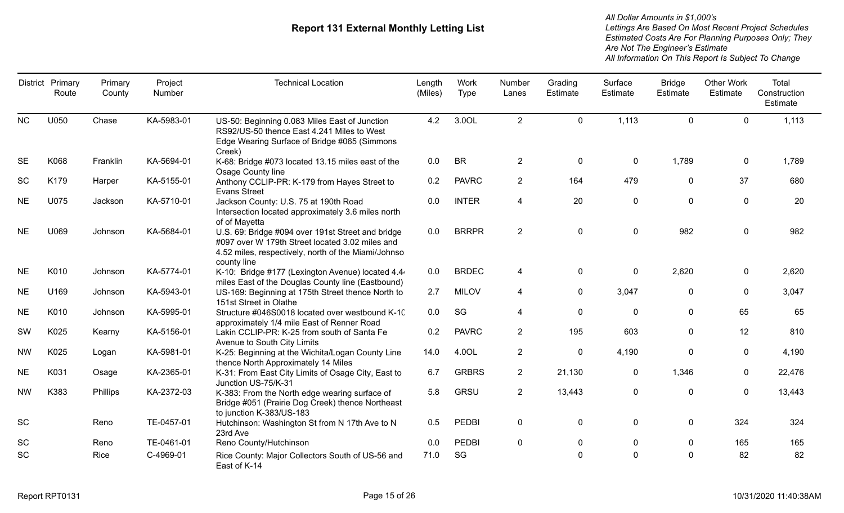| District  | Primary<br>Route | Primary<br>County | Project<br>Number | <b>Technical Location</b>                                                                                                                                                  | Length<br>(Miles) | Work<br>Type | Number<br>Lanes | Grading<br>Estimate | Surface<br>Estimate | <b>Bridge</b><br>Estimate | <b>Other Work</b><br>Estimate | Total<br>Construction<br>Estimate |
|-----------|------------------|-------------------|-------------------|----------------------------------------------------------------------------------------------------------------------------------------------------------------------------|-------------------|--------------|-----------------|---------------------|---------------------|---------------------------|-------------------------------|-----------------------------------|
| <b>NC</b> | U050             | Chase             | KA-5983-01        | US-50: Beginning 0.083 Miles East of Junction<br>RS92/US-50 thence East 4.241 Miles to West<br>Edge Wearing Surface of Bridge #065 (Simmons<br>Creek)                      | 4.2               | 3.0OL        | $\overline{2}$  | $\mathbf 0$         | 1,113               | $\mathbf{0}$              | $\mathbf 0$                   | 1,113                             |
| <b>SE</b> | K068             | Franklin          | KA-5694-01        | K-68: Bridge #073 located 13.15 miles east of the<br>Osage County line                                                                                                     | 0.0               | <b>BR</b>    | $\overline{2}$  | $\mathbf 0$         | 0                   | 1,789                     | $\mathbf{0}$                  | 1,789                             |
| <b>SC</b> | K179             | Harper            | KA-5155-01        | Anthony CCLIP-PR: K-179 from Hayes Street to<br><b>Evans Street</b>                                                                                                        | 0.2               | <b>PAVRC</b> | $\overline{2}$  | 164                 | 479                 | $\mathbf 0$               | 37                            | 680                               |
| <b>NE</b> | U075             | Jackson           | KA-5710-01        | Jackson County: U.S. 75 at 190th Road<br>Intersection located approximately 3.6 miles north<br>of of Mayetta                                                               | 0.0               | <b>INTER</b> | 4               | 20                  | $\mathbf 0$         | $\pmb{0}$                 | $\mathbf 0$                   | 20                                |
| <b>NE</b> | U069             | Johnson           | KA-5684-01        | U.S. 69: Bridge #094 over 191st Street and bridge<br>#097 over W 179th Street located 3.02 miles and<br>4.52 miles, respectively, north of the Miami/Johnso<br>county line | 0.0               | <b>BRRPR</b> | $\overline{2}$  | $\mathbf 0$         | $\mathbf 0$         | 982                       | 0                             | 982                               |
| <b>NE</b> | K010             | Johnson           | KA-5774-01        | K-10: Bridge #177 (Lexington Avenue) located 4.4<br>miles East of the Douglas County line (Eastbound)                                                                      | 0.0               | <b>BRDEC</b> | 4               | $\mathbf 0$         | $\mathbf 0$         | 2,620                     | 0                             | 2,620                             |
| <b>NE</b> | U169             | Johnson           | KA-5943-01        | US-169: Beginning at 175th Street thence North to<br>151st Street in Olathe                                                                                                | 2.7               | <b>MILOV</b> | 4               | $\mathbf 0$         | 3,047               | $\mathbf 0$               | $\mathbf 0$                   | 3,047                             |
| <b>NE</b> | K010             | Johnson           | KA-5995-01        | Structure #046S0018 located over westbound K-10<br>approximately 1/4 mile East of Renner Road                                                                              | 0.0               | SG           | 4               | $\mathbf 0$         | $\mathbf 0$         | $\mathbf 0$               | 65                            | 65                                |
| SW        | K025             | Kearny            | KA-5156-01        | Lakin CCLIP-PR: K-25 from south of Santa Fe<br>Avenue to South City Limits                                                                                                 | 0.2               | <b>PAVRC</b> | $\overline{2}$  | 195                 | 603                 | $\mathbf 0$               | 12                            | 810                               |
| <b>NW</b> | K025             | Logan             | KA-5981-01        | K-25: Beginning at the Wichita/Logan County Line<br>thence North Approximately 14 Miles                                                                                    | 14.0              | 4.0OL        | $\overline{2}$  | $\mathbf 0$         | 4,190               | $\mathbf 0$               | 0                             | 4,190                             |
| <b>NE</b> | K031             | Osage             | KA-2365-01        | K-31: From East City Limits of Osage City, East to<br>Junction US-75/K-31                                                                                                  | 6.7               | <b>GRBRS</b> | $\overline{2}$  | 21,130              | 0                   | 1,346                     | $\mathbf 0$                   | 22,476                            |
| <b>NW</b> | K383             | Phillips          | KA-2372-03        | K-383: From the North edge wearing surface of<br>Bridge #051 (Prairie Dog Creek) thence Northeast<br>to junction K-383/US-183                                              | 5.8               | <b>GRSU</b>  | $\overline{2}$  | 13,443              | $\pmb{0}$           | $\mathbf 0$               | $\mathbf 0$                   | 13,443                            |
| SC        |                  | Reno              | TE-0457-01        | Hutchinson: Washington St from N 17th Ave to N<br>23rd Ave                                                                                                                 | 0.5               | <b>PEDBI</b> | 0               | $\mathbf 0$         | $\mathbf 0$         | $\mathbf 0$               | 324                           | 324                               |
| <b>SC</b> |                  | Reno              | TE-0461-01        | Reno County/Hutchinson                                                                                                                                                     | 0.0               | <b>PEDBI</b> | $\mathbf 0$     | $\mathbf 0$         | 0                   | $\mathbf 0$               | 165                           | 165                               |
| SC        |                  | Rice              | C-4969-01         | Rice County: Major Collectors South of US-56 and<br>East of K-14                                                                                                           | 71.0              | SG           |                 | $\mathbf 0$         | $\mathbf 0$         | $\mathbf 0$               | 82                            | 82                                |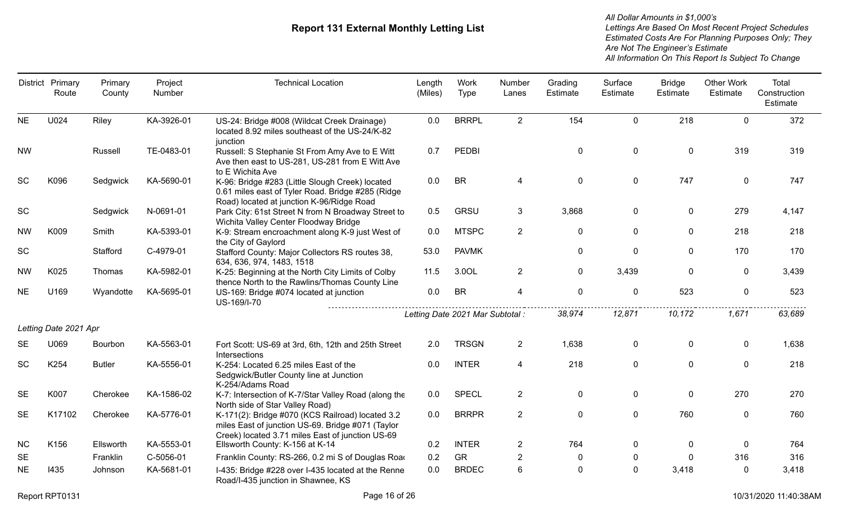|           | District Primary<br>Route | Primary<br>County | Project<br>Number | <b>Technical Location</b>                                                                                                                                 | Length<br>(Miles) | Work<br><b>Type</b>              | Number<br>Lanes | Grading<br>Estimate | Surface<br>Estimate | <b>Bridge</b><br><b>Estimate</b> | <b>Other Work</b><br>Estimate | Total<br>Construction<br>Estimate |
|-----------|---------------------------|-------------------|-------------------|-----------------------------------------------------------------------------------------------------------------------------------------------------------|-------------------|----------------------------------|-----------------|---------------------|---------------------|----------------------------------|-------------------------------|-----------------------------------|
| <b>NE</b> | U024                      | Riley             | KA-3926-01        | US-24: Bridge #008 (Wildcat Creek Drainage)<br>located 8.92 miles southeast of the US-24/K-82<br>junction                                                 | 0.0               | <b>BRRPL</b>                     | $2^{\circ}$     | 154                 | $\Omega$            | 218                              | $\Omega$                      | 372                               |
| <b>NW</b> |                           | Russell           | TE-0483-01        | Russell: S Stephanie St From Amy Ave to E Witt<br>Ave then east to US-281, US-281 from E Witt Ave<br>to E Wichita Ave                                     | 0.7               | <b>PEDBI</b>                     |                 | $\mathbf 0$         | $\mathbf 0$         | $\mathbf 0$                      | 319                           | 319                               |
| <b>SC</b> | K096                      | Sedgwick          | KA-5690-01        | K-96: Bridge #283 (Little Slough Creek) located<br>0.61 miles east of Tyler Road. Bridge #285 (Ridge<br>Road) located at junction K-96/Ridge Road         | 0.0               | <b>BR</b>                        | 4               | 0                   | 0                   | 747                              | $\mathbf 0$                   | 747                               |
| SC        |                           | Sedgwick          | N-0691-01         | Park City: 61st Street N from N Broadway Street to<br>Wichita Valley Center Floodway Bridge                                                               | 0.5               | <b>GRSU</b>                      | 3               | 3,868               | $\Omega$            | $\mathbf 0$                      | 279                           | 4,147                             |
| <b>NW</b> | K009                      | Smith             | KA-5393-01        | K-9: Stream encroachment along K-9 just West of<br>the City of Gaylord                                                                                    | 0.0               | <b>MTSPC</b>                     | $\overline{2}$  | $\mathbf 0$         | $\Omega$            | $\mathbf 0$                      | 218                           | 218                               |
| SC        |                           | Stafford          | C-4979-01         | Stafford County: Major Collectors RS routes 38,<br>634, 636, 974, 1483, 1518                                                                              | 53.0              | <b>PAVMK</b>                     |                 | 0                   | $\Omega$            | 0                                | 170                           | 170                               |
| <b>NW</b> | K025                      | Thomas            | KA-5982-01        | K-25: Beginning at the North City Limits of Colby<br>thence North to the Rawlins/Thomas County Line                                                       | 11.5              | 3.0OL                            | $\overline{2}$  | $\mathbf 0$         | 3,439               | $\mathbf 0$                      | 0                             | 3,439                             |
| <b>NE</b> | U169                      | Wyandotte         | KA-5695-01        | US-169: Bridge #074 located at junction<br>US-169/I-70                                                                                                    | 0.0               | <b>BR</b>                        | $\overline{4}$  | $\mathbf 0$         | $\overline{0}$      | 523                              | 0                             | 523                               |
|           |                           |                   |                   |                                                                                                                                                           |                   | Letting Date 2021 Mar Subtotal : |                 | 38,974              | 12,871              | 10,172                           | 1,671                         | 63,689                            |
|           | Letting Date 2021 Apr     |                   |                   |                                                                                                                                                           |                   |                                  |                 |                     |                     |                                  |                               |                                   |
| <b>SE</b> | U069                      | Bourbon           | KA-5563-01        | Fort Scott: US-69 at 3rd, 6th, 12th and 25th Street<br>Intersections                                                                                      | 2.0               | <b>TRSGN</b>                     | $\mathbf{2}$    | 1,638               | 0                   | 0                                | $\mathbf 0$                   | 1,638                             |
| <b>SC</b> | K254                      | <b>Butler</b>     | KA-5556-01        | K-254: Located 6.25 miles East of the<br>Sedgwick/Butler County line at Junction<br>K-254/Adams Road                                                      | 0.0               | <b>INTER</b>                     | 4               | 218                 | $\overline{0}$      | $\mathbf 0$                      | $\mathbf 0$                   | 218                               |
| <b>SE</b> | K007                      | Cherokee          | KA-1586-02        | K-7: Intersection of K-7/Star Valley Road (along the<br>North side of Star Valley Road)                                                                   | 0.0               | <b>SPECL</b>                     | $\overline{2}$  | $\mathbf 0$         | $\overline{0}$      | $\mathbf 0$                      | 270                           | 270                               |
| <b>SE</b> | K17102                    | Cherokee          | KA-5776-01        | K-171(2): Bridge #070 (KCS Railroad) located 3.2<br>miles East of junction US-69. Bridge #071 (Taylor<br>Creek) located 3.71 miles East of junction US-69 | 0.0               | <b>BRRPR</b>                     | $\overline{2}$  | $\pmb{0}$           | $\overline{0}$      | 760                              | 0                             | 760                               |
| <b>NC</b> | K156                      | Ellsworth         | KA-5553-01        | Ellsworth County: K-156 at K-14                                                                                                                           | 0.2               | <b>INTER</b>                     | $\mathbf{2}$    | 764                 | 0                   | $\mathbf{0}$                     | $\Omega$                      | 764                               |
| <b>SE</b> |                           | Franklin          | C-5056-01         | Franklin County: RS-266, 0.2 mi S of Douglas Road                                                                                                         | 0.2               | GR                               | $\overline{2}$  | 0                   | $\mathbf 0$         | $\mathbf{0}$                     | 316                           | 316                               |
| <b>NE</b> | 1435                      | Johnson           | KA-5681-01        | I-435: Bridge #228 over I-435 located at the Renne<br>Road/I-435 junction in Shawnee, KS                                                                  | 0.0               | <b>BRDEC</b>                     | 6               | $\overline{0}$      | $\overline{0}$      | 3,418                            | 0                             | 3,418                             |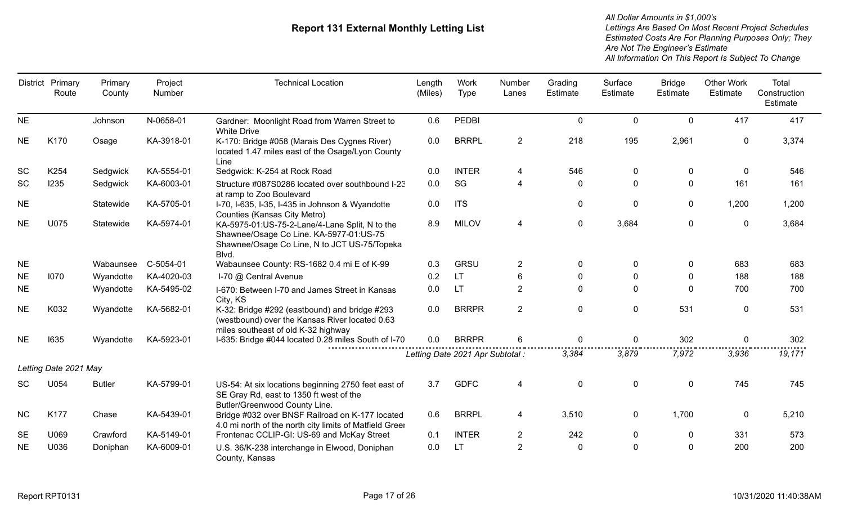| <b>District</b> | Primary<br>Route      | Primary<br>County | Project<br>Number | <b>Technical Location</b>                                                                                                                          | Length<br>(Miles) | Work<br><b>Type</b>              | Number<br>Lanes | Grading<br>Estimate | Surface<br>Estimate | <b>Bridge</b><br>Estimate | <b>Other Work</b><br>Estimate | Total<br>Construction<br>Estimate |
|-----------------|-----------------------|-------------------|-------------------|----------------------------------------------------------------------------------------------------------------------------------------------------|-------------------|----------------------------------|-----------------|---------------------|---------------------|---------------------------|-------------------------------|-----------------------------------|
| <b>NE</b>       |                       | Johnson           | N-0658-01         | Gardner: Moonlight Road from Warren Street to<br><b>White Drive</b>                                                                                | 0.6               | <b>PEDBI</b>                     |                 | $\mathbf 0$         | $\mathbf 0$         | $\mathbf 0$               | 417                           | 417                               |
| <b>NE</b>       | K170                  | Osage             | KA-3918-01        | K-170: Bridge #058 (Marais Des Cygnes River)<br>located 1.47 miles east of the Osage/Lyon County<br>Line                                           | 0.0               | <b>BRRPL</b>                     | $\overline{2}$  | 218                 | 195                 | 2,961                     | $\mathbf{0}$                  | 3,374                             |
| <b>SC</b>       | K254                  | Sedgwick          | KA-5554-01        | Sedgwick: K-254 at Rock Road                                                                                                                       | 0.0               | <b>INTER</b>                     | 4               | 546                 | $\mathbf{0}$        | $\Omega$                  | $\Omega$                      | 546                               |
| SC              | 1235                  | Sedgwick          | KA-6003-01        | Structure #087S0286 located over southbound I-23<br>at ramp to Zoo Boulevard                                                                       | 0.0               | SG                               | 4               | $\mathbf 0$         | $\mathbf{0}$        | $\mathbf 0$               | 161                           | 161                               |
| <b>NE</b>       |                       | Statewide         | KA-5705-01        | I-70, I-635, I-35, I-435 in Johnson & Wyandotte<br>Counties (Kansas City Metro)                                                                    | 0.0               | <b>ITS</b>                       |                 | $\mathbf 0$         | $\mathbf 0$         | $\mathbf 0$               | 1,200                         | 1,200                             |
| <b>NE</b>       | U075                  | Statewide         | KA-5974-01        | KA-5975-01:US-75-2-Lane/4-Lane Split, N to the<br>Shawnee/Osage Co Line. KA-5977-01:US-75<br>Shawnee/Osage Co Line, N to JCT US-75/Topeka<br>Blvd. | 8.9               | <b>MILOV</b>                     | 4               | $\mathbf 0$         | 3,684               | $\mathbf 0$               | $\mathbf 0$                   | 3,684                             |
| <b>NE</b>       |                       | Wabaunsee         | C-5054-01         | Wabaunsee County: RS-1682 0.4 mi E of K-99                                                                                                         | 0.3               | <b>GRSU</b>                      | $\overline{2}$  | $\mathbf{0}$        | $\mathbf{0}$        | $\mathbf 0$               | 683                           | 683                               |
| <b>NE</b>       | 1070                  | Wyandotte         | KA-4020-03        | I-70 @ Central Avenue                                                                                                                              | 0.2               | <b>LT</b>                        | 6               | $\Omega$            | $\mathbf{0}$        | $\mathbf 0$               | 188                           | 188                               |
| <b>NE</b>       |                       | Wyandotte         | KA-5495-02        | I-670: Between I-70 and James Street in Kansas<br>City, KS                                                                                         | 0.0               | LT                               | $\overline{2}$  | $\Omega$            | $\Omega$            | $\Omega$                  | 700                           | 700                               |
| <b>NE</b>       | K032                  | Wyandotte         | KA-5682-01        | K-32: Bridge #292 (eastbound) and bridge #293<br>(westbound) over the Kansas River located 0.63<br>miles southeast of old K-32 highway             | 0.0               | <b>BRRPR</b>                     | $2^{\circ}$     | $\mathbf{0}$        | $\mathbf{0}$        | 531                       | $\mathbf{0}$                  | 531                               |
| <b>NE</b>       | 1635                  | Wyandotte         | KA-5923-01        | I-635: Bridge #044 located 0.28 miles South of I-70                                                                                                | 0.0               | <b>BRRPR</b>                     | 6               | $\mathbf 0$         | $\mathbf 0$         | 302                       | $\mathbf 0$                   | 302                               |
|                 |                       |                   |                   |                                                                                                                                                    |                   | Letting Date 2021 Apr Subtotal : |                 | 3,384               | 3,879               | 7,972                     | 3,936                         | 19,171                            |
|                 | Letting Date 2021 May |                   |                   |                                                                                                                                                    |                   |                                  |                 |                     |                     |                           |                               |                                   |
| <b>SC</b>       | U054                  | <b>Butler</b>     | KA-5799-01        | US-54: At six locations beginning 2750 feet east of<br>SE Gray Rd, east to 1350 ft west of the<br>Butler/Greenwood County Line.                    | 3.7               | <b>GDFC</b>                      | 4               | 0                   | 0                   | $\mathbf 0$               | 745                           | 745                               |
| <b>NC</b>       | K177                  | Chase             | KA-5439-01        | Bridge #032 over BNSF Railroad on K-177 located<br>4.0 mi north of the north city limits of Matfield Green                                         | 0.6               | <b>BRRPL</b>                     | 4               | 3,510               | 0                   | 1,700                     | 0                             | 5,210                             |
| <b>SE</b>       | U069                  | Crawford          | KA-5149-01        | Frontenac CCLIP-GI: US-69 and McKay Street                                                                                                         | 0.1               | <b>INTER</b>                     | $\overline{2}$  | 242                 | $\mathbf 0$         | $\mathbf 0$               | 331                           | 573                               |
| <b>NE</b>       | U036                  | Doniphan          | KA-6009-01        | U.S. 36/K-238 interchange in Elwood, Doniphan<br>County, Kansas                                                                                    | 0.0               | LT                               | $\overline{2}$  | 0                   | $\mathbf{0}$        | $\mathbf{0}$              | 200                           | 200                               |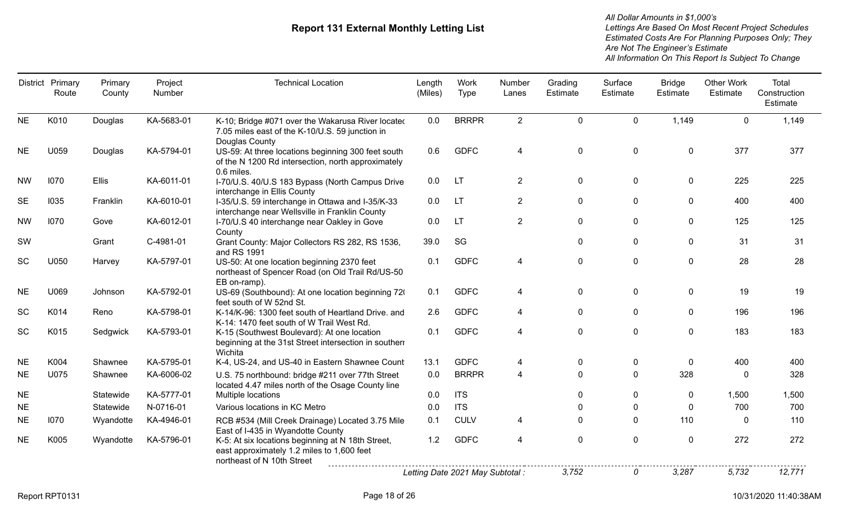| District  | Primary<br>Route | Primary<br>County | Project<br>Number | <b>Technical Location</b>                                                                                                     | Length<br>(Miles) | Work<br>Type                     | Number<br>Lanes | Grading<br>Estimate | Surface<br>Estimate | <b>Bridge</b><br>Estimate | <b>Other Work</b><br>Estimate | Total<br>Construction<br>Estimate |
|-----------|------------------|-------------------|-------------------|-------------------------------------------------------------------------------------------------------------------------------|-------------------|----------------------------------|-----------------|---------------------|---------------------|---------------------------|-------------------------------|-----------------------------------|
| <b>NE</b> | K010             | Douglas           | KA-5683-01        | K-10; Bridge #071 over the Wakarusa River located<br>7.05 miles east of the K-10/U.S. 59 junction in<br>Douglas County        | 0.0               | <b>BRRPR</b>                     | $\overline{2}$  | $\mathbf 0$         | $\mathbf 0$         | 1,149                     | $\mathbf 0$                   | 1,149                             |
| <b>NE</b> | U059             | Douglas           | KA-5794-01        | US-59: At three locations beginning 300 feet south<br>of the N 1200 Rd intersection, north approximately<br>0.6 miles.        | 0.6               | <b>GDFC</b>                      | 4               | 0                   | $\pmb{0}$           | 0                         | 377                           | 377                               |
| <b>NW</b> | 1070             | <b>Ellis</b>      | KA-6011-01        | I-70/U.S. 40/U.S 183 Bypass (North Campus Drive<br>interchange in Ellis County                                                | 0.0               | LT                               | $\overline{2}$  | $\mathbf 0$         | $\mathbf 0$         | $\mathbf 0$               | 225                           | 225                               |
| <b>SE</b> | 1035             | Franklin          | KA-6010-01        | I-35/U.S. 59 interchange in Ottawa and I-35/K-33<br>interchange near Wellsville in Franklin County                            | 0.0               | <b>LT</b>                        | $\overline{2}$  | $\mathbf 0$         | $\mathbf{0}$        | $\mathbf 0$               | 400                           | 400                               |
| <b>NW</b> | 1070             | Gove              | KA-6012-01        | I-70/U.S 40 interchange near Oakley in Gove<br>County                                                                         | 0.0               | <b>LT</b>                        | $\overline{2}$  | $\mathbf{0}$        | $\Omega$            | $\mathbf{0}$              | 125                           | 125                               |
| SW        |                  | Grant             | C-4981-01         | Grant County: Major Collectors RS 282, RS 1536,<br>and RS 1991                                                                | 39.0              | SG                               |                 | $\mathbf 0$         | $\mathbf 0$         | $\mathbf 0$               | 31                            | 31                                |
| SC        | U050             | Harvey            | KA-5797-01        | US-50: At one location beginning 2370 feet<br>northeast of Spencer Road (on Old Trail Rd/US-50<br>EB on-ramp).                | 0.1               | <b>GDFC</b>                      | 4               | $\mathbf 0$         | $\mathbf 0$         | $\mathbf 0$               | 28                            | 28                                |
| <b>NE</b> | U069             | Johnson           | KA-5792-01        | US-69 (Southbound): At one location beginning 720<br>feet south of W 52nd St.                                                 | 0.1               | <b>GDFC</b>                      | 4               | $\mathbf 0$         | $\mathbf 0$         | $\mathbf{0}$              | 19                            | 19                                |
| SC        | K014             | Reno              | KA-5798-01        | K-14/K-96: 1300 feet south of Heartland Drive. and<br>K-14: 1470 feet south of W Trail West Rd.                               | 2.6               | <b>GDFC</b>                      | 4               | $\mathbf 0$         | $\mathbf{0}$        | $\mathbf 0$               | 196                           | 196                               |
| SC        | K015             | Sedgwick          | KA-5793-01        | K-15 (Southwest Boulevard): At one location<br>beginning at the 31st Street intersection in southern<br>Wichita               | 0.1               | <b>GDFC</b>                      | 4               | $\mathbf 0$         | $\pmb{0}$           | $\mathbf 0$               | 183                           | 183                               |
| <b>NE</b> | K004             | Shawnee           | KA-5795-01        | K-4, US-24, and US-40 in Eastern Shawnee Count                                                                                | 13.1              | <b>GDFC</b>                      | 4               | 0                   | 0                   | $\mathbf{0}$              | 400                           | 400                               |
| <b>NE</b> | U075             | Shawnee           | KA-6006-02        | U.S. 75 northbound: bridge #211 over 77th Street<br>located 4.47 miles north of the Osage County line                         | 0.0               | <b>BRRPR</b>                     | 4               | $\Omega$            | $\mathbf 0$         | 328                       | $\mathbf 0$                   | 328                               |
| <b>NE</b> |                  | Statewide         | KA-5777-01        | Multiple locations                                                                                                            | 0.0               | <b>ITS</b>                       |                 | $\Omega$            | $\mathbf{0}$        | $\mathbf 0$               | 1,500                         | 1,500                             |
| <b>NE</b> |                  | Statewide         | N-0716-01         | Various locations in KC Metro                                                                                                 | 0.0               | <b>ITS</b>                       |                 |                     | 0                   | 0                         | 700                           | 700                               |
| <b>NE</b> | 1070             | Wyandotte         | KA-4946-01        | RCB #534 (Mill Creek Drainage) Located 3.75 Mile<br>East of I-435 in Wyandotte County                                         | 0.1               | <b>CULV</b>                      | 4               | $\Omega$            | $\Omega$            | 110                       | $\Omega$                      | 110                               |
| <b>NE</b> | K005             | Wyandotte         | KA-5796-01        | K-5: At six locations beginning at N 18th Street,<br>east approximately 1.2 miles to 1,600 feet<br>northeast of N 10th Street | 1.2               | <b>GDFC</b>                      | 4               | $\mathbf 0$         | $\pmb{0}$           | $\mathbf 0$               | 272                           | 272                               |
|           |                  |                   |                   |                                                                                                                               |                   | Letting Date 2021 May Subtotal : |                 | 3.752               | 0                   | 3.287                     | 5.732                         | 12,771                            |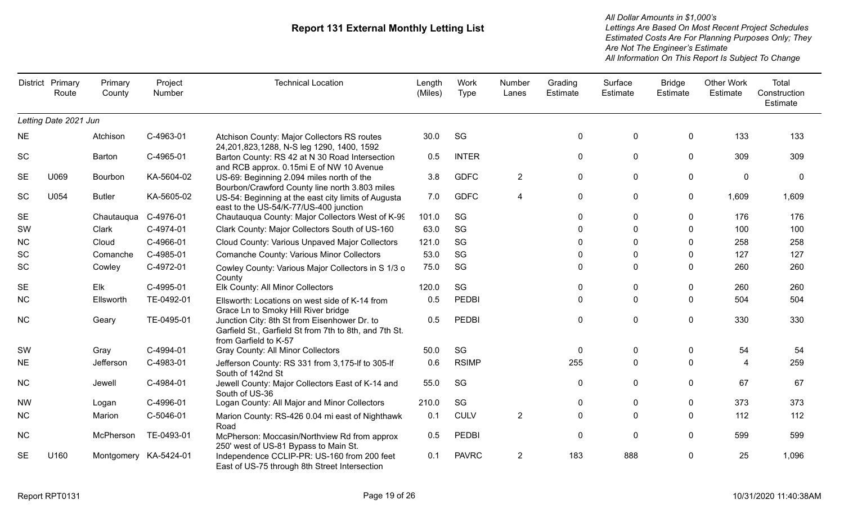|           | District Primary<br>Route | Primary<br>County     | Project<br>Number | <b>Technical Location</b>                                                                                                       | Length<br>(Miles) | Work<br><b>Type</b> | Number<br>Lanes | Grading<br>Estimate | Surface<br>Estimate | <b>Bridge</b><br>Estimate | Other Work<br>Estimate | Total<br>Construction<br>Estimate |
|-----------|---------------------------|-----------------------|-------------------|---------------------------------------------------------------------------------------------------------------------------------|-------------------|---------------------|-----------------|---------------------|---------------------|---------------------------|------------------------|-----------------------------------|
|           | Letting Date 2021 Jun     |                       |                   |                                                                                                                                 |                   |                     |                 |                     |                     |                           |                        |                                   |
| <b>NE</b> |                           | Atchison              | C-4963-01         | Atchison County: Major Collectors RS routes<br>24, 201, 823, 1288, N-S leg 1290, 1400, 1592                                     | 30.0              | SG                  |                 | 0                   | $\boldsymbol{0}$    | 0                         | 133                    | 133                               |
| <b>SC</b> |                           | Barton                | C-4965-01         | Barton County: RS 42 at N 30 Road Intersection<br>and RCB approx. 0.15mi E of NW 10 Avenue                                      | 0.5               | <b>INTER</b>        |                 | 0                   | 0                   | 0                         | 309                    | 309                               |
| <b>SE</b> | U069                      | Bourbon               | KA-5604-02        | US-69: Beginning 2.094 miles north of the<br>Bourbon/Crawford County line north 3.803 miles                                     | 3.8               | <b>GDFC</b>         | $\overline{2}$  | $\pmb{0}$           | $\mathbf 0$         | $\mathbf 0$               | $\mathbf 0$            | $\mathbf{0}$                      |
| SC        | U054                      | <b>Butler</b>         | KA-5605-02        | US-54: Beginning at the east city limits of Augusta<br>east to the US-54/K-77/US-400 junction                                   | 7.0               | <b>GDFC</b>         | $\overline{4}$  | $\mathbf 0$         | $\mathbf{0}$        | 0                         | 1,609                  | 1,609                             |
| <b>SE</b> |                           | Chautauqua            | C-4976-01         | Chautauqua County: Major Collectors West of K-99                                                                                | 101.0             | SG                  |                 | $\Omega$            | $\Omega$            | $\mathbf 0$               | 176                    | 176                               |
| SW        |                           | Clark                 | C-4974-01         | Clark County: Major Collectors South of US-160                                                                                  | 63.0              | SG                  |                 | 0                   | $\Omega$            | $\Omega$                  | 100                    | 100                               |
| <b>NC</b> |                           | Cloud                 | C-4966-01         | Cloud County: Various Unpaved Major Collectors                                                                                  | 121.0             | SG                  |                 | 0                   | $\Omega$            | $\Omega$                  | 258                    | 258                               |
| SC        |                           | Comanche              | C-4985-01         | <b>Comanche County: Various Minor Collectors</b>                                                                                | 53.0              | SG                  |                 | 0                   | ∩                   | $\mathbf{0}$              | 127                    | 127                               |
| <b>SC</b> |                           | Cowley                | C-4972-01         | Cowley County: Various Major Collectors in S 1/3 o<br>County                                                                    | 75.0              | SG                  |                 | $\Omega$            | $\Omega$            | $\mathbf{0}$              | 260                    | 260                               |
| <b>SE</b> |                           | Elk                   | C-4995-01         | Elk County: All Minor Collectors                                                                                                | 120.0             | SG                  |                 | $\mathbf{0}$        | $\Omega$            | $\mathbf{0}$              | 260                    | 260                               |
| <b>NC</b> |                           | Ellsworth             | TE-0492-01        | Ellsworth: Locations on west side of K-14 from<br>Grace Ln to Smoky Hill River bridge                                           | 0.5               | <b>PEDBI</b>        |                 | $\Omega$            | $\Omega$            | $\mathbf{0}$              | 504                    | 504                               |
| <b>NC</b> |                           | Geary                 | TE-0495-01        | Junction City: 8th St from Eisenhower Dr. to<br>Garfield St., Garfield St from 7th to 8th, and 7th St.<br>from Garfield to K-57 | 0.5               | <b>PEDBI</b>        |                 | 0                   | $\mathbf{0}$        | 0                         | 330                    | 330                               |
| SW        |                           | Gray                  | C-4994-01         | Gray County: All Minor Collectors                                                                                               | 50.0              | SG                  |                 | 0                   | $\mathbf 0$         | 0                         | 54                     | 54                                |
| <b>NE</b> |                           | Jefferson             | C-4983-01         | Jefferson County: RS 331 from 3,175-If to 305-If<br>South of 142nd St                                                           | 0.6               | <b>RSIMP</b>        |                 | 255                 | $\Omega$            | $\mathbf{0}$              |                        | 259                               |
| <b>NC</b> |                           | Jewell                | C-4984-01         | Jewell County: Major Collectors East of K-14 and<br>South of US-36                                                              | 55.0              | SG                  |                 | 0                   | $\Omega$            | $\mathbf 0$               | 67                     | 67                                |
| <b>NW</b> |                           | Logan                 | C-4996-01         | Logan County: All Major and Minor Collectors                                                                                    | 210.0             | SG                  |                 | 0                   | 0                   | $\mathbf 0$               | 373                    | 373                               |
| <b>NC</b> |                           | Marion                | C-5046-01         | Marion County: RS-426 0.04 mi east of Nighthawk<br>Road                                                                         | 0.1               | <b>CULV</b>         | $\overline{2}$  | $\mathbf{0}$        | $\Omega$            | $\mathbf{0}$              | 112                    | 112                               |
| <b>NC</b> |                           | McPherson             | TE-0493-01        | McPherson: Moccasin/Northview Rd from approx<br>250' west of US-81 Bypass to Main St.                                           | 0.5               | <b>PEDBI</b>        |                 | $\Omega$            | $\Omega$            | $\mathbf{0}$              | 599                    | 599                               |
| <b>SE</b> | U160                      | Montgomery KA-5424-01 |                   | Independence CCLIP-PR: US-160 from 200 feet<br>East of US-75 through 8th Street Intersection                                    | 0.1               | <b>PAVRC</b>        | $\overline{2}$  | 183                 | 888                 | $\mathbf{0}$              | 25                     | 1,096                             |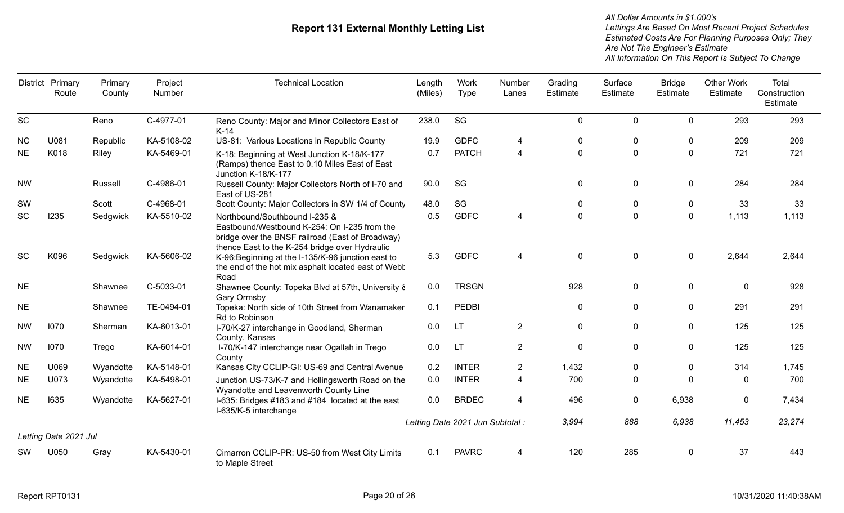|           | District Primary<br>Route | Primary<br>County | Project<br>Number | <b>Technical Location</b>                                                                                                                                                           | Length<br>(Miles) | Work<br><b>Type</b>              | Number<br>Lanes | Grading<br>Estimate | Surface<br>Estimate | <b>Bridge</b><br>Estimate | <b>Other Work</b><br>Estimate | Total<br>Construction<br>Estimate |
|-----------|---------------------------|-------------------|-------------------|-------------------------------------------------------------------------------------------------------------------------------------------------------------------------------------|-------------------|----------------------------------|-----------------|---------------------|---------------------|---------------------------|-------------------------------|-----------------------------------|
| SC        |                           | Reno              | C-4977-01         | Reno County: Major and Minor Collectors East of<br>$K-14$                                                                                                                           | 238.0             | SG                               |                 | $\mathbf 0$         | $\mathbf 0$         | $\mathbf 0$               | 293                           | 293                               |
| <b>NC</b> | U081                      | Republic          | KA-5108-02        | US-81: Various Locations in Republic County                                                                                                                                         | 19.9              | <b>GDFC</b>                      | 4               | $\mathbf 0$         | $\Omega$            | $\mathbf 0$               | 209                           | 209                               |
| <b>NE</b> | K018                      | Riley             | KA-5469-01        | K-18: Beginning at West Junction K-18/K-177<br>(Ramps) thence East to 0.10 Miles East of East<br>Junction K-18/K-177                                                                | 0.7               | <b>PATCH</b>                     | 4               | $\mathbf 0$         | $\mathbf 0$         | $\mathbf 0$               | 721                           | 721                               |
| <b>NW</b> |                           | Russell           | C-4986-01         | Russell County: Major Collectors North of I-70 and<br>East of US-281                                                                                                                | 90.0              | SG                               |                 | $\mathbf 0$         | 0                   | $\mathbf 0$               | 284                           | 284                               |
| SW        |                           | Scott             | C-4968-01         | Scott County: Major Collectors in SW 1/4 of County                                                                                                                                  | 48.0              | SG                               |                 | $\mathbf 0$         | $\mathbf{0}$        | $\mathbf 0$               | 33                            | 33                                |
| SC        | 1235                      | Sedgwick          | KA-5510-02        | Northbound/Southbound I-235 &<br>Eastbound/Westbound K-254: On I-235 from the<br>bridge over the BNSF railroad (East of Broadway)<br>thence East to the K-254 bridge over Hydraulic | 0.5               | <b>GDFC</b>                      | 4               | $\mathbf 0$         | $\mathbf 0$         | $\mathbf 0$               | 1,113                         | 1,113                             |
| <b>SC</b> | K096                      | Sedgwick          | KA-5606-02        | K-96: Beginning at the I-135/K-96 junction east to<br>the end of the hot mix asphalt located east of Webt<br>Road                                                                   | 5.3               | <b>GDFC</b>                      | 4               | $\mathbf 0$         | $\mathbf 0$         | $\mathbf 0$               | 2,644                         | 2,644                             |
| <b>NE</b> |                           | Shawnee           | C-5033-01         | Shawnee County: Topeka Blvd at 57th, University &<br>Gary Ormsby                                                                                                                    | 0.0               | <b>TRSGN</b>                     |                 | 928                 | $\mathbf 0$         | $\mathbf 0$               | $\mathbf{0}$                  | 928                               |
| <b>NE</b> |                           | Shawnee           | TE-0494-01        | Topeka: North side of 10th Street from Wanamaker<br>Rd to Robinson                                                                                                                  | 0.1               | <b>PEDBI</b>                     |                 | $\mathbf 0$         | $\mathbf 0$         | $\mathbf 0$               | 291                           | 291                               |
| <b>NW</b> | 1070                      | Sherman           | KA-6013-01        | I-70/K-27 interchange in Goodland, Sherman<br>County, Kansas                                                                                                                        | 0.0               | <b>LT</b>                        | $\overline{2}$  | $\mathbf 0$         | $\mathbf 0$         | $\mathbf 0$               | 125                           | 125                               |
| <b>NW</b> | 1070                      | Trego             | KA-6014-01        | I-70/K-147 interchange near Ogallah in Trego<br>County                                                                                                                              | 0.0               | <b>LT</b>                        | $\overline{2}$  | $\mathbf 0$         | $\mathbf 0$         | $\mathbf 0$               | 125                           | 125                               |
| <b>NE</b> | U069                      | Wyandotte         | KA-5148-01        | Kansas City CCLIP-GI: US-69 and Central Avenue                                                                                                                                      | 0.2               | <b>INTER</b>                     | $\overline{2}$  | 1,432               | $\mathbf{0}$        | $\mathbf 0$               | 314                           | 1,745                             |
| <b>NE</b> | U073                      | Wyandotte         | KA-5498-01        | Junction US-73/K-7 and Hollingsworth Road on the<br>Wyandotte and Leavenworth County Line                                                                                           | 0.0               | <b>INTER</b>                     | 4               | 700                 | $\pmb{0}$           | $\mathbf 0$               | $\mathbf 0$                   | 700                               |
| <b>NE</b> | 1635                      | Wyandotte         | KA-5627-01        | I-635: Bridges #183 and #184 located at the east<br>I-635/K-5 interchange                                                                                                           | 0.0               | <b>BRDEC</b>                     | 4               | 496                 | $\pmb{0}$           | 6,938                     | $\mathbf{0}$                  | 7,434                             |
|           |                           |                   |                   |                                                                                                                                                                                     |                   | Letting Date 2021 Jun Subtotal : |                 | 3,994               | 888                 | 6,938                     | 11,453                        | 23,274                            |
|           | Letting Date 2021 Jul     |                   |                   |                                                                                                                                                                                     |                   |                                  |                 |                     |                     |                           |                               |                                   |
| sw        | U050                      | Gray              | KA-5430-01        | Cimarron CCLIP-PR: US-50 from West City Limits<br>to Maple Street                                                                                                                   | 0.1               | <b>PAVRC</b>                     | 4               | 120                 | 285                 | $\mathbf 0$               | 37                            | 443                               |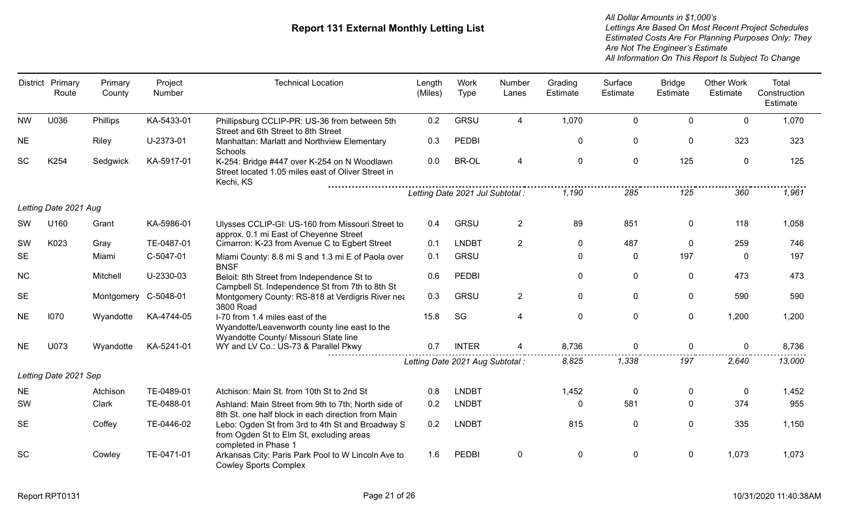|           | District Primary<br>Route | Primary<br>County | Project<br>Number | <b>Technical Location</b>                                                                                                 | Length<br>(Miles) | Work<br><b>Type</b>              | Number<br>Lanes | Grading<br>Estimate | Surface<br>Estimate | <b>Bridge</b><br>Estimate | <b>Other Work</b><br>Estimate | Total<br>Construction<br>Estimate |
|-----------|---------------------------|-------------------|-------------------|---------------------------------------------------------------------------------------------------------------------------|-------------------|----------------------------------|-----------------|---------------------|---------------------|---------------------------|-------------------------------|-----------------------------------|
| <b>NW</b> | U036                      | Phillips          | KA-5433-01        | Phillipsburg CCLIP-PR: US-36 from between 5th<br>Street and 6th Street to 8th Street                                      | 0.2               | GRSU                             | 4               | 1,070               | $\mathbf 0$         | $\overline{0}$            | $\mathbf{0}$                  | 1,070                             |
| <b>NE</b> |                           | <b>Riley</b>      | U-2373-01         | Manhattan: Marlatt and Northview Elementary<br>Schools                                                                    | 0.3               | PEDBI                            |                 | 0                   | 0                   | 0                         | 323                           | 323                               |
| <b>SC</b> | K254                      | Sedgwick          | KA-5917-01        | K-254: Bridge #447 over K-254 on N Woodlawn<br>Street located 1.05 miles east of Oliver Street in<br>Kechi, KS            | 0.0               | <b>BR-OL</b>                     | 4               | $\mathbf 0$         | $\mathbf 0$         | 125                       | $\mathbf{0}$                  | 125                               |
|           |                           |                   |                   |                                                                                                                           |                   | Letting Date 2021 Jul Subtotal : |                 | 1,190               | 285                 | 125                       | 360                           | 1,961                             |
|           | Letting Date 2021 Aug     |                   |                   |                                                                                                                           |                   |                                  |                 |                     |                     |                           |                               |                                   |
| <b>SW</b> | U160                      | Grant             | KA-5986-01        | Ulysses CCLIP-GI: US-160 from Missouri Street to<br>approx. 0.1 mi East of Cheyenne Street                                | 0.4               | <b>GRSU</b>                      | $\overline{2}$  | 89                  | 851                 | 0                         | 118                           | 1,058                             |
| SW        | K023                      | Gray              | TE-0487-01        | Cimarron: K-23 from Avenue C to Egbert Street                                                                             | 0.1               | <b>LNDBT</b>                     | $\overline{2}$  | $\mathbf 0$         | 487                 | $\Omega$                  | 259                           | 746                               |
| <b>SE</b> |                           | Miami             | C-5047-01         | Miami County: 8.8 mi S and 1.3 mi E of Paola over<br><b>BNSF</b>                                                          | 0.1               | <b>GRSU</b>                      |                 | $\mathbf{0}$        | $\Omega$            | 197                       | $\Omega$                      | 197                               |
| NC        |                           | Mitchell          | U-2330-03         | Beloit: 8th Street from Independence St to<br>Campbell St. Independence St from 7th to 8th St                             | 0.6               | PEDBI                            |                 | $\pmb{0}$           | $\pmb{0}$           | $\mathbf 0$               | 473                           | 473                               |
| <b>SE</b> |                           | Montgomery        | C-5048-01         | Montgomery County: RS-818 at Verdigris River nea<br>3800 Road                                                             | 0.3               | <b>GRSU</b>                      | $\overline{2}$  | $\mathbf 0$         | $\mathbf 0$         | $\mathbf 0$               | 590                           | 590                               |
| <b>NE</b> | 1070                      | Wyandotte         | KA-4744-05        | I-70 from 1.4 miles east of the<br>Wyandotte/Leavenworth county line east to the<br>Wyandotte County/ Missouri State line | 15.8              | SG                               | 4               | $\mathbf 0$         | $\mathbf 0$         | $\mathbf 0$               | 1,200                         | 1,200                             |
| <b>NE</b> | U073                      | Wyandotte         | KA-5241-01        | WY and LV Co.: US-73 & Parallel Pkwy                                                                                      | 0.7               | <b>INTER</b>                     |                 | 8,736               | $\mathbf 0$         | $\mathbf{0}$              | 0                             | 8,736                             |
|           |                           |                   |                   |                                                                                                                           |                   | Letting Date 2021 Aug Subtotal : |                 | 8,825               | 1,338               | 197                       | 2,640                         | 13,000                            |
|           | Letting Date 2021 Sep     |                   |                   |                                                                                                                           |                   |                                  |                 |                     |                     |                           |                               |                                   |
| <b>NE</b> |                           | Atchison          | TE-0489-01        | Atchison: Main St. from 10th St to 2nd St                                                                                 | 0.8               | <b>LNDBT</b>                     |                 | 1,452               | $\mathbf 0$         | 0                         | $\Omega$                      | 1,452                             |
| SW        |                           | Clark             | TE-0488-01        | Ashland: Main Street from 9th to 7th; North side of<br>8th St. one half block in each direction from Main                 | 0.2               | <b>LNDBT</b>                     |                 | 0                   | 581                 | $\mathbf 0$               | 374                           | 955                               |
| <b>SE</b> |                           | Coffey            | TE-0446-02        | Lebo: Ogden St from 3rd to 4th St and Broadway S<br>from Ogden St to Elm St, excluding areas<br>completed in Phase 1      | 0.2               | <b>LNDBT</b>                     |                 | 815                 | $\mathbf 0$         | $\mathbf 0$               | 335                           | 1,150                             |
| <b>SC</b> |                           | Cowley            | TE-0471-01        | Arkansas City: Paris Park Pool to W Lincoln Ave to<br><b>Cowley Sports Complex</b>                                        | 1.6               | <b>PEDBI</b>                     | 0               | 0                   | $\mathbf 0$         | $\mathbf{0}$              | 1,073                         | 1,073                             |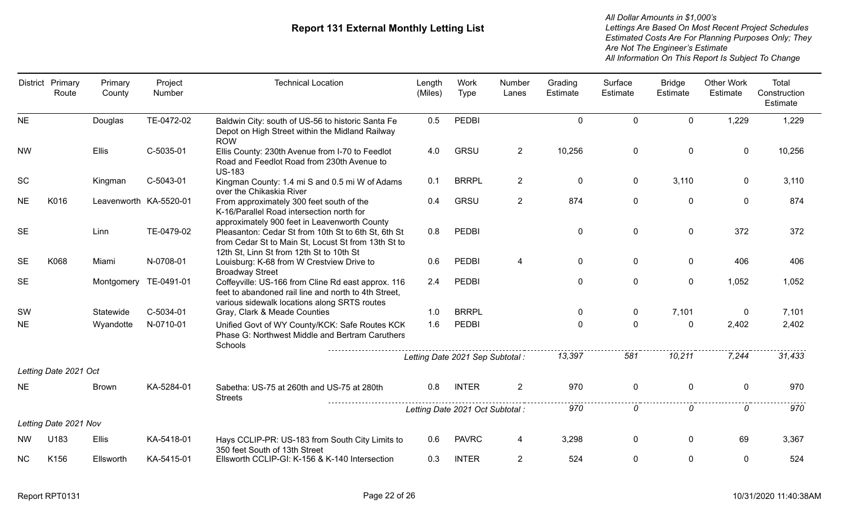| <b>District</b> | Primary<br>Route      | Primary<br>County      | Project<br>Number | <b>Technical Location</b>                                                                                                                                  | Length<br>(Miles) | Work<br>Type                     | Number<br>Lanes | Grading<br>Estimate | Surface<br>Estimate | <b>Bridge</b><br>Estimate | <b>Other Work</b><br>Estimate | Total<br>Construction<br>Estimate |
|-----------------|-----------------------|------------------------|-------------------|------------------------------------------------------------------------------------------------------------------------------------------------------------|-------------------|----------------------------------|-----------------|---------------------|---------------------|---------------------------|-------------------------------|-----------------------------------|
| <b>NE</b>       |                       | Douglas                | TE-0472-02        | Baldwin City: south of US-56 to historic Santa Fe<br>Depot on High Street within the Midland Railway<br><b>ROW</b>                                         | 0.5               | <b>PEDBI</b>                     |                 | $\mathbf 0$         | $\mathbf 0$         | $\mathbf 0$               | 1,229                         | 1,229                             |
| <b>NW</b>       |                       | <b>Ellis</b>           | C-5035-01         | Ellis County: 230th Avenue from I-70 to Feedlot<br>Road and Feedlot Road from 230th Avenue to<br><b>US-183</b>                                             | 4.0               | <b>GRSU</b>                      | $\overline{2}$  | 10,256              | 0                   | 0                         | $\mathbf 0$                   | 10,256                            |
| <b>SC</b>       |                       | Kingman                | C-5043-01         | Kingman County: 1.4 mi S and 0.5 mi W of Adams<br>over the Chikaskia River                                                                                 | 0.1               | <b>BRRPL</b>                     | $\overline{2}$  | $\mathbf 0$         | 0                   | 3,110                     | $\Omega$                      | 3,110                             |
| <b>NE</b>       | K016                  | Leavenworth KA-5520-01 |                   | From approximately 300 feet south of the<br>K-16/Parallel Road intersection north for<br>approximately 900 feet in Leavenworth County                      | 0.4               | <b>GRSU</b>                      | $\overline{2}$  | 874                 | $\pmb{0}$           | $\mathbf 0$               | $\mathbf 0$                   | 874                               |
| <b>SE</b>       |                       | Linn                   | TE-0479-02        | Pleasanton: Cedar St from 10th St to 6th St, 6th St<br>from Cedar St to Main St, Locust St from 13th St to<br>12th St, Linn St from 12th St to 10th St     | 0.8               | <b>PEDBI</b>                     |                 | $\mathbf 0$         | $\mathbf 0$         | $\mathbf 0$               | 372                           | 372                               |
| <b>SE</b>       | K068                  | Miami                  | N-0708-01         | Louisburg: K-68 from W Crestview Drive to<br><b>Broadway Street</b>                                                                                        | 0.6               | <b>PEDBI</b>                     | 4               | $\mathbf 0$         | $\mathbf 0$         | $\mathbf 0$               | 406                           | 406                               |
| <b>SE</b>       |                       | Montgomery TE-0491-01  |                   | Coffeyville: US-166 from Cline Rd east approx. 116<br>feet to abandoned rail line and north to 4th Street,<br>various sidewalk locations along SRTS routes | 2.4               | <b>PEDBI</b>                     |                 | $\mathbf{0}$        | $\Omega$            | $\mathbf 0$               | 1,052                         | 1,052                             |
| SW              |                       | Statewide              | C-5034-01         | Gray, Clark & Meade Counties                                                                                                                               | 1.0               | <b>BRRPL</b>                     |                 | 0                   | 0                   | 7,101                     | $\mathbf{0}$                  | 7,101                             |
| <b>NE</b>       |                       | Wyandotte              | N-0710-01         | Unified Govt of WY County/KCK: Safe Routes KCK<br>Phase G: Northwest Middle and Bertram Caruthers<br>Schools                                               | 1.6               | PEDBI                            |                 | $\mathbf 0$         | $\mathbf 0$         | 0                         | 2,402                         | 2,402                             |
|                 |                       |                        |                   |                                                                                                                                                            |                   | Letting Date 2021 Sep Subtotal : |                 | 13,397              | 581                 | 10,211                    | 7,244                         | 31,433                            |
|                 | Letting Date 2021 Oct |                        |                   |                                                                                                                                                            |                   |                                  |                 |                     |                     |                           |                               |                                   |
| <b>NE</b>       |                       | <b>Brown</b>           | KA-5284-01        | Sabetha: US-75 at 260th and US-75 at 280th<br><b>Streets</b>                                                                                               | 0.8               | <b>INTER</b>                     | $\overline{2}$  | 970                 | $\pmb{0}$           | $\mathbf 0$               | $\mathbf 0$                   | 970                               |
|                 |                       |                        |                   |                                                                                                                                                            |                   | Letting Date 2021 Oct Subtotal : |                 | 970                 | 0                   | 0                         | 0                             | 970                               |
|                 | Letting Date 2021 Nov |                        |                   |                                                                                                                                                            |                   |                                  |                 |                     |                     |                           |                               |                                   |
| <b>NW</b>       | U183                  | <b>Ellis</b>           | KA-5418-01        | Hays CCLIP-PR: US-183 from South City Limits to<br>350 feet South of 13th Street                                                                           | 0.6               | <b>PAVRC</b>                     | 4               | 3,298               | $\mathbf 0$         | $\mathbf{0}$              | 69                            | 3,367                             |
| <b>NC</b>       | K156                  | Ellsworth              | KA-5415-01        | Ellsworth CCLIP-GI: K-156 & K-140 Intersection                                                                                                             | 0.3               | <b>INTER</b>                     | $\overline{2}$  | 524                 | $\mathbf{0}$        | $\mathbf{0}$              | $\mathbf{0}$                  | 524                               |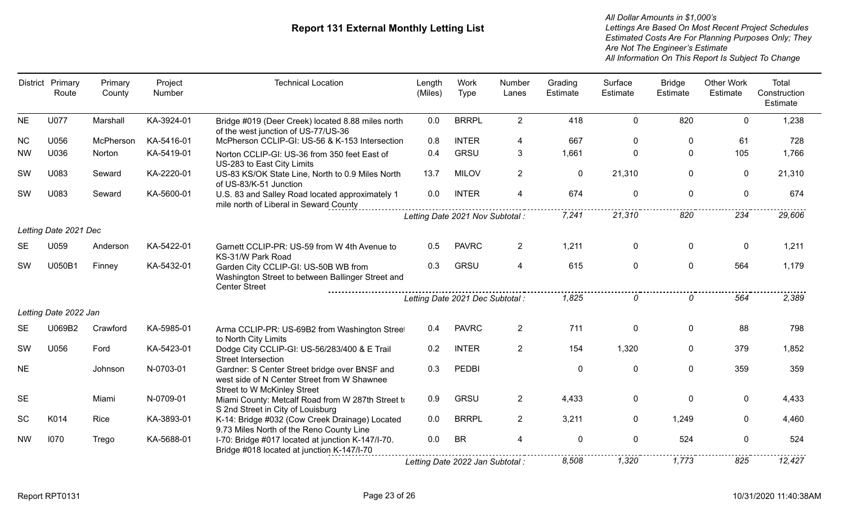| <b>District</b> | Primary<br>Route      | Primary<br>County | Project<br>Number | <b>Technical Location</b>                                                                                                          | Length<br>(Miles) | Work<br>Type                     | Number<br>Lanes | Grading<br>Estimate | Surface<br>Estimate | <b>Bridge</b><br>Estimate | <b>Other Work</b><br>Estimate | Total<br>Construction<br>Estimate |
|-----------------|-----------------------|-------------------|-------------------|------------------------------------------------------------------------------------------------------------------------------------|-------------------|----------------------------------|-----------------|---------------------|---------------------|---------------------------|-------------------------------|-----------------------------------|
| <b>NE</b>       | <b>U077</b>           | Marshall          | KA-3924-01        | Bridge #019 (Deer Creek) located 8.88 miles north<br>of the west junction of US-77/US-36                                           | 0.0               | <b>BRRPL</b>                     | $\overline{2}$  | 418                 | $\mathbf 0$         | 820                       | $\Omega$                      | 1,238                             |
| <b>NC</b>       | U056                  | McPherson         | KA-5416-01        | McPherson CCLIP-GI: US-56 & K-153 Intersection                                                                                     | 0.8               | <b>INTER</b>                     | 4               | 667                 | $\mathbf{0}$        | $\mathbf{0}$              | 61                            | 728                               |
| <b>NW</b>       | U036                  | Norton            | KA-5419-01        | Norton CCLIP-GI: US-36 from 350 feet East of<br>US-283 to East City Limits                                                         | 0.4               | <b>GRSU</b>                      | 3               | 1,661               | $\mathbf 0$         | $\mathbf{0}$              | 105                           | 1,766                             |
| SW              | U083                  | Seward            | KA-2220-01        | US-83 KS/OK State Line, North to 0.9 Miles North<br>of US-83/K-51 Junction                                                         | 13.7              | <b>MILOV</b>                     | $\overline{2}$  | $\mathbf{0}$        | 21,310              | $\mathbf{0}$              | $\Omega$                      | 21,310                            |
| SW              | U083                  | Seward            | KA-5600-01        | U.S. 83 and Salley Road located approximately 1<br>mile north of Liberal in Seward County                                          | 0.0               | <b>INTER</b>                     | $\overline{4}$  | 674                 | $\mathbf 0$         | $\mathbf 0$               | $\mathbf 0$                   | 674                               |
|                 |                       |                   |                   |                                                                                                                                    |                   | Letting Date 2021 Nov Subtotal : |                 | 7,241               | 21,310              | 820                       | 234                           | 29,606                            |
|                 | Letting Date 2021 Dec |                   |                   |                                                                                                                                    |                   |                                  |                 |                     |                     |                           |                               |                                   |
| <b>SE</b>       | U059                  | Anderson          | KA-5422-01        | Garnett CCLIP-PR: US-59 from W 4th Avenue to<br>KS-31/W Park Road                                                                  | 0.5               | <b>PAVRC</b>                     | $\overline{2}$  | 1,211               | $\mathbf 0$         | $\mathbf 0$               | $\mathbf 0$                   | 1,211                             |
| SW              | U050B1                | Finney            | KA-5432-01        | Garden City CCLIP-GI: US-50B WB from<br>Washington Street to between Ballinger Street and<br><b>Center Street</b>                  | 0.3               | GRSU                             | 4               | 615                 | $\mathbf 0$         | $\mathbf 0$               | 564                           | 1,179                             |
|                 |                       |                   |                   |                                                                                                                                    |                   | Letting Date 2021 Dec Subtotal : |                 | 1,825               | O                   | $\Omega$                  | 564                           | 2,389                             |
|                 | Letting Date 2022 Jan |                   |                   |                                                                                                                                    |                   |                                  |                 |                     |                     |                           |                               |                                   |
| <b>SE</b>       | U069B2                | Crawford          | KA-5985-01        | Arma CCLIP-PR: US-69B2 from Washington Street<br>to North City Limits                                                              | 0.4               | <b>PAVRC</b>                     | $\overline{2}$  | 711                 | 0                   | $\mathbf 0$               | 88                            | 798                               |
| SW              | U056                  | Ford              | KA-5423-01        | Dodge City CCLIP-GI: US-56/283/400 & E Trail<br><b>Street Intersection</b>                                                         | 0.2               | <b>INTER</b>                     | $\overline{2}$  | 154                 | 1,320               | $\mathbf 0$               | 379                           | 1,852                             |
| <b>NE</b>       |                       | Johnson           | N-0703-01         | Gardner: S Center Street bridge over BNSF and<br>west side of N Center Street from W Shawnee<br><b>Street to W McKinley Street</b> | 0.3               | <b>PEDBI</b>                     |                 | $\mathbf 0$         | $\mathbf 0$         | $\mathbf 0$               | 359                           | 359                               |
| <b>SE</b>       |                       | Miami             | N-0709-01         | Miami County: Metcalf Road from W 287th Street to<br>S 2nd Street in City of Louisburg                                             | 0.9               | <b>GRSU</b>                      | $\overline{2}$  | 4,433               | $\mathbf 0$         | $\mathbf 0$               | $\mathbf 0$                   | 4,433                             |
| SC              | K014                  | Rice              | KA-3893-01        | K-14: Bridge #032 (Cow Creek Drainage) Located<br>9.73 Miles North of the Reno County Line                                         | 0.0               | <b>BRRPL</b>                     | $2^{\circ}$     | 3,211               | $\mathbf{0}$        | 1,249                     | $\Omega$                      | 4,460                             |
| <b>NW</b>       | 1070                  | Trego             | KA-5688-01        | I-70: Bridge #017 located at junction K-147/I-70.<br>Bridge #018 located at junction K-147/I-70                                    | 0.0               | <b>BR</b>                        | 4               | $\mathbf 0$         | $\mathbf 0$         | 524                       | $\mathbf{0}$                  | 524                               |
|                 |                       |                   |                   |                                                                                                                                    |                   | Letting Date 2022 Jan Subtotal : |                 | 8,508               | 1,320               | 1,773                     | 825                           | 12,427                            |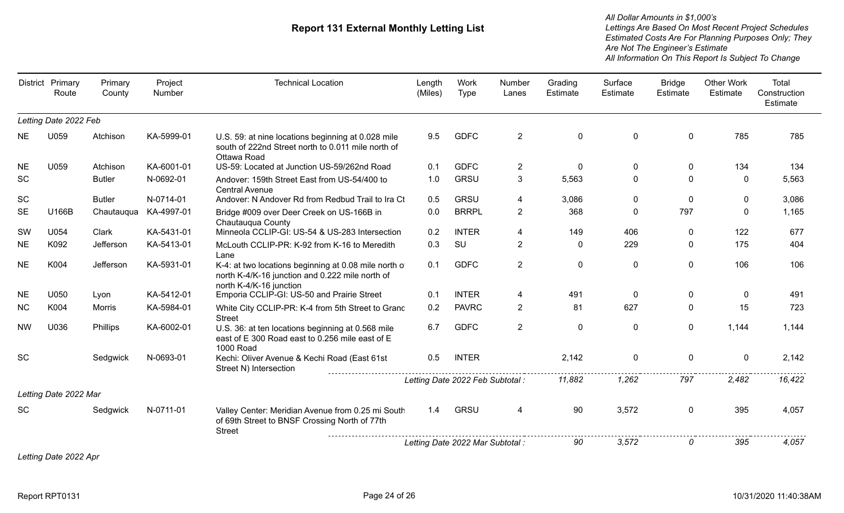*Estimated Costs Are For Planning Purposes Only; They Are Not The Engineer's Estimate Lettings Are Based On Most Recent Project Schedules All Dollar Amounts in \$1,000's All Information On This Report Is Subject To Change*

|           | District Primary<br>Route | Primary<br>County | Project<br>Number | <b>Technical Location</b>                                                                                                           | Length<br>(Miles) | Work<br>Type                     | Number<br>Lanes | Grading<br>Estimate | Surface<br>Estimate | <b>Bridge</b><br>Estimate | <b>Other Work</b><br>Estimate | Total<br>Construction<br>Estimate |
|-----------|---------------------------|-------------------|-------------------|-------------------------------------------------------------------------------------------------------------------------------------|-------------------|----------------------------------|-----------------|---------------------|---------------------|---------------------------|-------------------------------|-----------------------------------|
|           | Letting Date 2022 Feb     |                   |                   |                                                                                                                                     |                   |                                  |                 |                     |                     |                           |                               |                                   |
| <b>NE</b> | U059                      | Atchison          | KA-5999-01        | U.S. 59: at nine locations beginning at 0.028 mile<br>south of 222nd Street north to 0.011 mile north of<br>Ottawa Road             | 9.5               | <b>GDFC</b>                      | $\overline{2}$  | $\mathbf 0$         | $\mathbf 0$         | $\overline{0}$            | 785                           | 785                               |
| <b>NE</b> | U059                      | Atchison          | KA-6001-01        | US-59: Located at Junction US-59/262nd Road                                                                                         | 0.1               | <b>GDFC</b>                      | $\overline{2}$  | $\mathbf 0$         | 0                   | $\mathbf{0}$              | 134                           | 134                               |
| <b>SC</b> |                           | <b>Butler</b>     | N-0692-01         | Andover: 159th Street East from US-54/400 to<br><b>Central Avenue</b>                                                               | 1.0               | <b>GRSU</b>                      | 3               | 5,563               | $\Omega$            | $\Omega$                  | $\Omega$                      | 5,563                             |
| SC        |                           | <b>Butler</b>     | N-0714-01         | Andover: N Andover Rd from Redbud Trail to Ira Ct                                                                                   | 0.5               | <b>GRSU</b>                      | 4               | 3,086               | $\Omega$            | $\Omega$                  | $\mathbf{0}$                  | 3,086                             |
| <b>SE</b> | U166B                     | Chautauqua        | KA-4997-01        | Bridge #009 over Deer Creek on US-166B in<br>Chautauqua County                                                                      | 0.0               | <b>BRRPL</b>                     | $\overline{2}$  | 368                 | $\Omega$            | 797                       | $\Omega$                      | 1,165                             |
| SW        | U054                      | Clark             | KA-5431-01        | Minneola CCLIP-GI: US-54 & US-283 Intersection                                                                                      | 0.2               | <b>INTER</b>                     | 4               | 149                 | 406                 | 0                         | 122                           | 677                               |
| <b>NE</b> | K092                      | Jefferson         | KA-5413-01        | McLouth CCLIP-PR: K-92 from K-16 to Meredith<br>Lane                                                                                | 0.3               | SU                               | $\overline{2}$  | $\Omega$            | 229                 | $\Omega$                  | 175                           | 404                               |
| <b>NE</b> | K004                      | Jefferson         | KA-5931-01        | K-4: at two locations beginning at 0.08 mile north of<br>north K-4/K-16 junction and 0.222 mile north of<br>north K-4/K-16 junction | 0.1               | <b>GDFC</b>                      | $\overline{2}$  | $\mathbf 0$         | $\Omega$            | $\Omega$                  | 106                           | 106                               |
| <b>NE</b> | U050                      | Lyon              | KA-5412-01        | Emporia CCLIP-GI: US-50 and Prairie Street                                                                                          | 0.1               | <b>INTER</b>                     | 4               | 491                 | $\mathbf{0}$        | $\mathbf{0}$              | 0                             | 491                               |
| <b>NC</b> | K004                      | Morris            | KA-5984-01        | White City CCLIP-PR: K-4 from 5th Street to Grand<br><b>Street</b>                                                                  | 0.2               | <b>PAVRC</b>                     | $\overline{2}$  | 81                  | 627                 | $\Omega$                  | 15                            | 723                               |
| <b>NW</b> | U036                      | Phillips          | KA-6002-01        | U.S. 36: at ten locations beginning at 0.568 mile<br>east of E 300 Road east to 0.256 mile east of E<br><b>1000 Road</b>            | 6.7               | <b>GDFC</b>                      | $\overline{2}$  | $\mathbf{0}$        | $\Omega$            | $\Omega$                  | 1,144                         | 1,144                             |
| <b>SC</b> |                           | Sedgwick          | N-0693-01         | Kechi: Oliver Avenue & Kechi Road (East 61st<br>Street N) Intersection                                                              | 0.5               | <b>INTER</b>                     |                 | 2,142               | $\mathbf 0$         | $\Omega$                  | $\mathbf 0$                   | 2,142                             |
|           |                           |                   |                   |                                                                                                                                     |                   | Letting Date 2022 Feb Subtotal : |                 | 11,882              | 1,262               | 797                       | 2,482                         | 16,422                            |
|           | Letting Date 2022 Mar     |                   |                   |                                                                                                                                     |                   |                                  |                 |                     |                     |                           |                               |                                   |
| <b>SC</b> |                           | Sedgwick          | N-0711-01         | Valley Center: Meridian Avenue from 0.25 mi South<br>of 69th Street to BNSF Crossing North of 77th<br><b>Street</b>                 | 1.4               | <b>GRSU</b>                      | 4               | 90                  | 3,572               | $\mathbf 0$               | 395                           | 4,057                             |
|           |                           |                   |                   |                                                                                                                                     |                   | Letting Date 2022 Mar Subtotal : |                 | 90                  | 3,572               | 0                         | 395                           | 4,057                             |

*Letting Date 2022 Apr*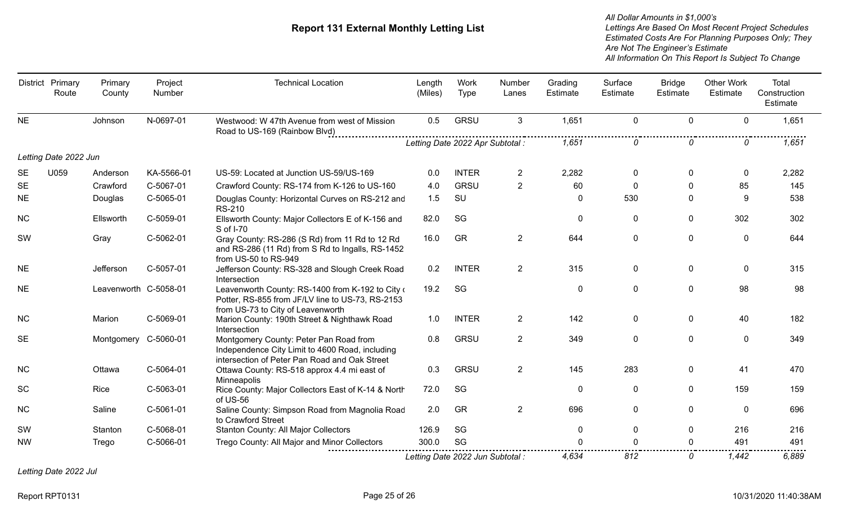*Estimated Costs Are For Planning Purposes Only; They Are Not The Engineer's Estimate Lettings Are Based On Most Recent Project Schedules All Dollar Amounts in \$1,000's All Information On This Report Is Subject To Change*

|           | District Primary<br>Route | Primary<br>County     | Project<br>Number | <b>Technical Location</b>                                                                                                                  | Length<br>(Miles) | Work<br>Type                     | Number<br>Lanes | Grading<br>Estimate | Surface<br>Estimate | <b>Bridge</b><br>Estimate | <b>Other Work</b><br>Estimate | Total<br>Construction<br>Estimate |
|-----------|---------------------------|-----------------------|-------------------|--------------------------------------------------------------------------------------------------------------------------------------------|-------------------|----------------------------------|-----------------|---------------------|---------------------|---------------------------|-------------------------------|-----------------------------------|
| <b>NE</b> |                           | Johnson               | N-0697-01         | Westwood: W 47th Avenue from west of Mission<br>Road to US-169 (Rainbow Blvd)                                                              | 0.5               | <b>GRSU</b>                      | $\mathbf{3}$    | 1,651               | 0                   | $\mathbf 0$               | $\mathbf 0$                   | 1,651                             |
|           |                           |                       |                   |                                                                                                                                            |                   | Letting Date 2022 Apr Subtotal : |                 | 1,651               | 0                   | 0                         | 0                             | 1,651                             |
|           | Letting Date 2022 Jun     |                       |                   |                                                                                                                                            |                   |                                  |                 |                     |                     |                           |                               |                                   |
| <b>SE</b> | U059                      | Anderson              | KA-5566-01        | US-59: Located at Junction US-59/US-169                                                                                                    | 0.0               | <b>INTER</b>                     | $\overline{2}$  | 2,282               | 0                   | $\mathbf{0}$              | $\mathbf{0}$                  | 2,282                             |
| <b>SE</b> |                           | Crawford              | C-5067-01         | Crawford County: RS-174 from K-126 to US-160                                                                                               | 4.0               | <b>GRSU</b>                      | $\overline{2}$  | 60                  | $\Omega$            | $\Omega$                  | 85                            | 145                               |
| <b>NE</b> |                           | Douglas               | C-5065-01         | Douglas County: Horizontal Curves on RS-212 and<br><b>RS-210</b>                                                                           | 1.5               | SU                               |                 | $\mathbf 0$         | 530                 | $\mathbf{0}$              | 9                             | 538                               |
| <b>NC</b> |                           | Ellsworth             | C-5059-01         | Ellsworth County: Major Collectors E of K-156 and<br>S of I-70                                                                             | 82.0              | SG                               |                 | $\mathbf 0$         | 0                   | $\mathbf 0$               | 302                           | 302                               |
| SW        |                           | Gray                  | C-5062-01         | Gray County: RS-286 (S Rd) from 11 Rd to 12 Rd<br>and RS-286 (11 Rd) from S Rd to Ingalls, RS-1452<br>from US-50 to RS-949                 | 16.0              | GR                               | $\overline{2}$  | 644                 | 0                   | $\mathbf 0$               | 0                             | 644                               |
| <b>NE</b> |                           | <b>Jefferson</b>      | C-5057-01         | Jefferson County: RS-328 and Slough Creek Road<br>Intersection                                                                             | 0.2               | <b>INTER</b>                     | $\overline{2}$  | 315                 | 0                   | $\mathbf{0}$              | $\mathbf{0}$                  | 315                               |
| <b>NE</b> |                           | Leavenworth C-5058-01 |                   | Leavenworth County: RS-1400 from K-192 to City of<br>Potter, RS-855 from JF/LV line to US-73, RS-2153<br>from US-73 to City of Leavenworth | 19.2              | SG                               |                 | $\mathbf 0$         | 0                   | $\mathbf 0$               | 98                            | 98                                |
| NC        |                           | Marion                | C-5069-01         | Marion County: 190th Street & Nighthawk Road<br>Intersection                                                                               | 1.0               | <b>INTER</b>                     | $\overline{2}$  | 142                 | 0                   | $\mathbf{0}$              | 40                            | 182                               |
| <b>SE</b> |                           | Montgomery C-5060-01  |                   | Montgomery County: Peter Pan Road from<br>Independence City Limit to 4600 Road, including<br>intersection of Peter Pan Road and Oak Street | 0.8               | <b>GRSU</b>                      | $\overline{2}$  | 349                 | $\mathbf{0}$        | $\mathbf{0}$              | $\Omega$                      | 349                               |
| <b>NC</b> |                           | Ottawa                | C-5064-01         | Ottawa County: RS-518 approx 4.4 mi east of<br>Minneapolis                                                                                 | 0.3               | <b>GRSU</b>                      | $\overline{2}$  | 145                 | 283                 | $\mathbf{0}$              | 41                            | 470                               |
| <b>SC</b> |                           | Rice                  | C-5063-01         | Rice County: Major Collectors East of K-14 & North<br>of US-56                                                                             | 72.0              | SG                               |                 | 0                   | 0                   | 0                         | 159                           | 159                               |
| <b>NC</b> |                           | Saline                | C-5061-01         | Saline County: Simpson Road from Magnolia Road<br>to Crawford Street                                                                       | 2.0               | GR                               | $\overline{2}$  | 696                 | $\mathbf{0}$        | $\Omega$                  | $\Omega$                      | 696                               |
| SW        |                           | Stanton               | C-5068-01         | Stanton County: All Major Collectors                                                                                                       | 126.9             | SG                               |                 | $\mathbf 0$         | 0                   | 0                         | 216                           | 216                               |
| <b>NW</b> |                           | Trego                 | C-5066-01         | Trego County: All Major and Minor Collectors                                                                                               | 300.0             | SG                               |                 |                     | O                   | $\Omega$                  | 491                           | 491                               |
|           |                           |                       |                   |                                                                                                                                            |                   | Letting Date 2022 Jun Subtotal : |                 | 4.634               | 812                 | 0                         | 1.442                         | 6,889                             |

*Letting Date 2022 Jul*